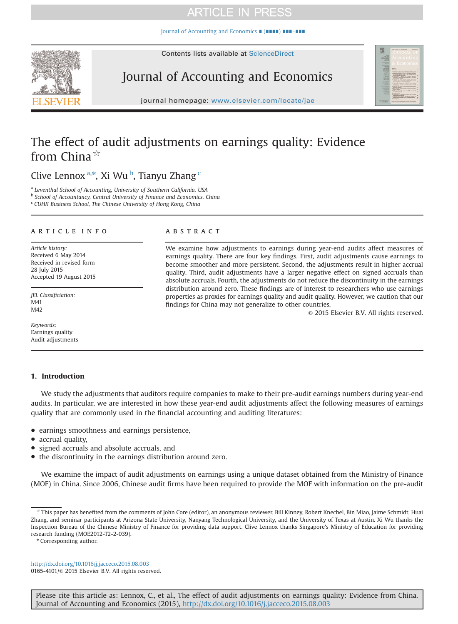[Journal of Accounting and Economics](http://dx.doi.org/10.1016/j.jacceco.2015.08.003) ∎ (∎∎∎∎) ∎∎∎–∎∎∎







journal homepage: <www.elsevier.com/locate/jae>

# The effect of audit adjustments on earnings quality: Evidence from China $\overrightarrow{x}$

Clive Lennox<sup>a,\*</sup>, Xi Wu<sup>b</sup>, Tianyu Zhang<sup>c</sup>

<sup>a</sup> Leventhal School of Accounting, University of Southern California, USA

**b School of Accountancy, Central University of Finance and Economics, China** 

<sup>c</sup> CUHK Business School, The Chinese University of Hong Kong, China

# article info

Article history: Received 6 May 2014 Received in revised form 28 July 2015 Accepted 19 August 2015

JEL Classificiation: M41 M42

Keywords: Earnings quality Audit adjustments

# **ABSTRACT**

We examine how adjustments to earnings during year-end audits affect measures of earnings quality. There are four key findings. First, audit adjustments cause earnings to become smoother and more persistent. Second, the adjustments result in higher accrual quality. Third, audit adjustments have a larger negative effect on signed accruals than absolute accruals. Fourth, the adjustments do not reduce the discontinuity in the earnings distribution around zero. These findings are of interest to researchers who use earnings properties as proxies for earnings quality and audit quality. However, we caution that our findings for China may not generalize to other countries.

 $\odot$  2015 Elsevier B.V. All rights reserved.

# 1. Introduction

We study the adjustments that auditors require companies to make to their pre-audit earnings numbers during year-end audits. In particular, we are interested in how these year-end audit adjustments affect the following measures of earnings quality that are commonly used in the financial accounting and auditing literatures:

- earnings smoothness and earnings persistence,
- accrual quality,
- signed accruals and absolute accruals, and
- the discontinuity in the earnings distribution around zero.

We examine the impact of audit adjustments on earnings using a unique dataset obtained from the Ministry of Finance (MOF) in China. Since 2006, Chinese audit firms have been required to provide the MOF with information on the pre-audit

<http://dx.doi.org/10.1016/j.jacceco.2015.08.003> 0165-4101/© 2015 Elsevier B.V. All rights reserved.

This paper has benefited from the comments of John Core (editor), an anonymous reviewer, Bill Kinney, Robert Knechel, Bin Miao, Jaime Schmidt, Huai Zhang, and seminar participants at Arizona State University, Nanyang Technological University, and the University of Texas at Austin. Xi Wu thanks the Inspection Bureau of the Chinese Ministry of Finance for providing data support. Clive Lennox thanks Singapore's Ministry of Education for providing research funding (MOE2012-T2-2-039).

<sup>\*</sup> Corresponding author.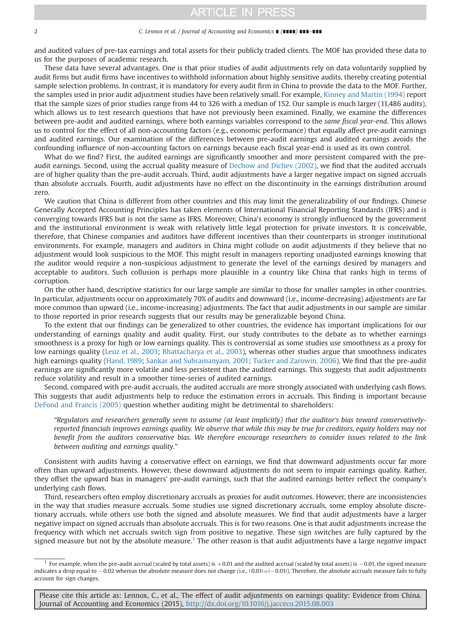and audited values of pre-tax earnings and total assets for their publicly traded clients. The MOF has provided these data to us for the purposes of academic research.

These data have several advantages. One is that prior studies of audit adjustments rely on data voluntarily supplied by audit firms but audit firms have incentives to withhold information about highly sensitive audits, thereby creating potential sample selection problems. In contrast, it is mandatory for every audit firm in China to provide the data to the MOF. Further, the samples used in prior audit adjustment studies have been relatively small. For example, [Kinney and Martin \(1994\)](#page-17-0) report that the sample sizes of prior studies range from 44 to 326 with a median of 152. Our sample is much larger (11,486 audits), which allows us to test research questions that have not previously been examined. Finally, we examine the differences between pre-audit and audited earnings, where both earnings variables correspond to the same fiscal year-end. This allows us to control for the effect of all non-accounting factors (e.g., economic performance) that equally affect pre-audit earnings and audited earnings. Our examination of the differences between pre-audit earnings and audited earnings avoids the confounding influence of non-accounting factors on earnings because each fiscal year-end is used as its own control.

What do we find? First, the audited earnings are significantly smoother and more persistent compared with the preaudit earnings. Second, using the accrual quality measure of [Dechow and Dichev \(2002\)](#page-16-0), we find that the audited accruals are of higher quality than the pre-audit accruals. Third, audit adjustments have a larger negative impact on signed accruals than absolute accruals. Fourth, audit adjustments have no effect on the discontinuity in the earnings distribution around zero.

We caution that China is different from other countries and this may limit the generalizability of our findings. Chinese Generally Accepted Accounting Principles has taken elements of International Financial Reporting Standards (IFRS) and is converging towards IFRS but is not the same as IFRS. Moreover, China's economy is strongly influenced by the government and the institutional environment is weak with relatively little legal protection for private investors. It is conceivable, therefore, that Chinese companies and auditors have different incentives than their counterparts in stronger institutional environments. For example, managers and auditors in China might collude on audit adjustments if they believe that no adjustment would look suspicious to the MOF. This might result in managers reporting unadjusted earnings knowing that the auditor would require a non-suspicious adjustment to generate the level of the earnings desired by managers and acceptable to auditors. Such collusion is perhaps more plausible in a country like China that ranks high in terms of corruption.

On the other hand, descriptive statistics for our large sample are similar to those for smaller samples in other countries. In particular, adjustments occur on approximately 70% of audits and downward (i.e., income-decreasing) adjustments are far more common than upward (i.e., income-increasing) adjustments. The fact that audit adjustments in our sample are similar to those reported in prior research suggests that our results may be generalizable beyond China.

To the extent that our findings can be generalized to other countries, the evidence has important implications for our understanding of earnings quality and audit quality. First, our study contributes to the debate as to whether earnings smoothness is a proxy for high or low earnings quality. This is controversial as some studies use smoothness as a proxy for low earnings quality ([Leuz et al., 2003;](#page-17-0) [Bhattacharya et al., 2003](#page-16-0)), whereas other studies argue that smoothness indicates high earnings quality [\(Hand, 1989;](#page-17-0) [Sankar and Subramanyam, 2001;](#page-17-0) [Tucker and Zarowin, 2006\)](#page-17-0). We find that the pre-audit earnings are significantly more volatile and less persistent than the audited earnings. This suggests that audit adjustments reduce volatility and result in a smoother time-series of audited earnings.

Second, compared with pre-audit accruals, the audited accruals are more strongly associated with underlying cash flows. This suggests that audit adjustments help to reduce the estimation errors in accruals. This finding is important because [DeFond and Francis \(2005\)](#page-16-0) question whether auditing might be detrimental to shareholders:

"Regulators and researchers generally seem to assume (at least implicitly) that the auditor's bias toward conservativelyreported financials improves earnings quality. We observe that while this may be true for creditors, equity holders may not benefit from the auditors conservative bias. We therefore encourage researchers to consider issues related to the link between auditing and earnings quality."

Consistent with audits having a conservative effect on earnings, we find that downward adjustments occur far more often than upward adjustments. However, these downward adjustments do not seem to impair earnings quality. Rather, they offset the upward bias in managers' pre-audit earnings, such that the audited earnings better reflect the company's underlying cash flows.

Third, researchers often employ discretionary accruals as proxies for audit outcomes. However, there are inconsistencies in the way that studies measure accruals. Some studies use signed discretionary accruals, some employ absolute discretionary accruals, while others use both the signed and absolute measures. We find that audit adjustments have a larger negative impact on signed accruals than absolute accruals. This is for two reasons. One is that audit adjustments increase the frequency with which net accruals switch sign from positive to negative. These sign switches are fully captured by the signed measure but not by the absolute measure.<sup>1</sup> The other reason is that audit adjustments have a large *negative* impact

For example, when the pre-audit accrual (scaled by total assets) is  $+0.01$  and the audited accrual (scaled by total assets) is  $-0.01$ , the signed measure indicates a drop equal to  $-0.02$  whereas the absolute measure does not change (i.e.,  $|0.01| = |-0.01|$ ). Therefore, the absolute accruals measure fails to fully account for sign changes.

Please cite this article as: Lennox, C., et al., The effect of audit adjustments on earnings quality: Evidence from China. Journal of Accounting and Economics (2015), http://dx.doi.org/10.1016/j.jacceco.2015.08.003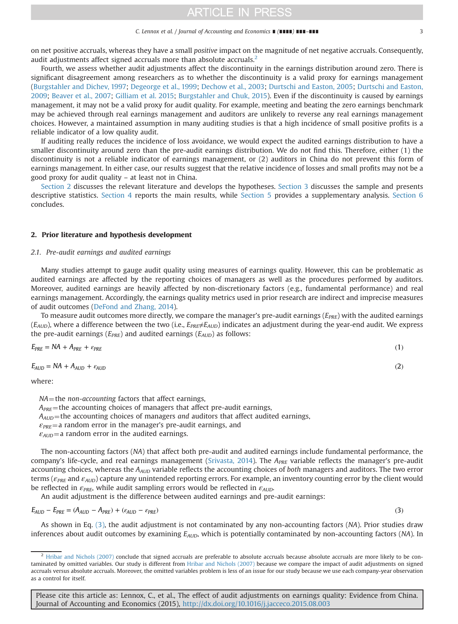<span id="page-2-0"></span>on net positive accruals, whereas they have a small positive impact on the magnitude of net negative accruals. Consequently, audit adjustments affect signed accruals more than absolute accruals.<sup>2</sup>

Fourth, we assess whether audit adjustments affect the discontinuity in the earnings distribution around zero. There is significant disagreement among researchers as to whether the discontinuity is a valid proxy for earnings management ([Burgstahler and Dichev, 1997](#page-16-0); [Degeorge et al., 1999](#page-16-0); [Dechow et al., 2003](#page-16-0); [Durtschi and Easton, 2005;](#page-16-0) [Durtschi and Easton,](#page-16-0) [2009](#page-16-0); [Beaver et al., 2007;](#page-16-0) [Gilliam et al. 2015;](#page-17-0) [Burgstahler and Chuk, 2015\)](#page-16-0). Even if the discontinuity is caused by earnings management, it may not be a valid proxy for audit quality. For example, meeting and beating the zero earnings benchmark may be achieved through real earnings management and auditors are unlikely to reverse any real earnings management choices. However, a maintained assumption in many auditing studies is that a high incidence of small positive profits is a reliable indicator of a low quality audit.

If auditing really reduces the incidence of loss avoidance, we would expect the audited earnings distribution to have a smaller discontinuity around zero than the pre-audit earnings distribution. We do not find this. Therefore, either (1) the discontinuity is not a reliable indicator of earnings management, or (2) auditors in China do not prevent this form of earnings management. In either case, our results suggest that the relative incidence of losses and small profits may not be a good proxy for audit quality – at least not in China.

Section 2 discusses the relevant literature and develops the hypotheses. [Section 3](#page-5-0) discusses the sample and presents descriptive statistics. [Section 4](#page-8-0) reports the main results, while [Section 5](#page-14-0) provides a supplementary analysis. [Section 6](#page-16-0) concludes.

## 2. Prior literature and hypothesis development

#### 2.1. Pre-audit earnings and audited earnings

Many studies attempt to gauge audit quality using measures of earnings quality. However, this can be problematic as audited earnings are affected by the reporting choices of managers as well as the procedures performed by auditors. Moreover, audited earnings are heavily affected by non-discretionary factors (e.g., fundamental performance) and real earnings management. Accordingly, the earnings quality metrics used in prior research are indirect and imprecise measures of audit outcomes ([DeFond and Zhang, 2014](#page-16-0)).

To measure audit outcomes more directly, we compare the manager's pre-audit earnings  $(E_{PRE})$  with the audited earnings  $(E_{AID})$ , where a difference between the two (i.e.,  $E_{PRE} \neq E_{AID}$ ) indicates an adjustment during the year-end audit. We express the pre-audit earnings ( $E_{PRE}$ ) and audited earnings ( $E_{AUD}$ ) as follows:

$$
E_{PRE} = NA + A_{PRE} + \varepsilon_{PRE} \tag{1}
$$

$$
E_{AUD} = NA + A_{AUD} + \varepsilon_{AUD} \tag{2}
$$

where:

 $NA$  = the non-accounting factors that affect earnings,

 $A_{PRE}$ =the accounting choices of managers that affect pre-audit earnings,

 $A_{AUD}$  = the accounting choices of managers and auditors that affect audited earnings,

 $\varepsilon_{PRE}$ = a random error in the manager's pre-audit earnings, and

 $\varepsilon_{AUD}$  a random error in the audited earnings.

The non-accounting factors (NA) that affect both pre-audit and audited earnings include fundamental performance, the company's life-cycle, and real earnings management [\(Srivasta, 2014](#page-17-0)). The  $A_{PRE}$  variable reflects the manager's pre-audit accounting choices, whereas the  $A_{AUD}$  variable reflects the accounting choices of both managers and auditors. The two error terms ( $\varepsilon_{PRE}$  and  $\varepsilon_{AUD}$ ) capture any unintended reporting errors. For example, an inventory counting error by the client would be reflected in  $\varepsilon_{PRE}$ , while audit sampling errors would be reflected in  $\varepsilon_{AUD}$ .

An audit adjustment is the difference between audited earnings and pre-audit earnings:

$$
E_{AUD} - E_{PRE} = (A_{AUD} - A_{PRE}) + (\varepsilon_{AUD} - \varepsilon_{PRE})
$$
\n
$$
(3)
$$

As shown in Eq. (3), the audit adjustment is not contaminated by any non-accounting factors (NA). Prior studies draw inferences about audit outcomes by examining  $E_{AUD}$ , which is potentially contaminated by non-accounting factors (NA). In

 $<sup>2</sup>$  [Hribar and Nichols \(2007\)](#page-17-0) conclude that signed accruals are preferable to absolute accruals because absolute accruals are more likely to be con-</sup> taminated by omitted variables. Our study is different from [Hribar and Nichols \(2007\)](#page-17-0) because we compare the impact of audit adjustments on signed accruals versus absolute accruals. Moreover, the omitted variables problem is less of an issue for our study because we use each company-year observation as a control for itself.

Please cite this article as: Lennox, C., et al., The effect of audit adjustments on earnings quality: Evidence from China. Journal of Accounting and Economics (2015), http://dx.doi.org/10.1016/j.jacceco.2015.08.003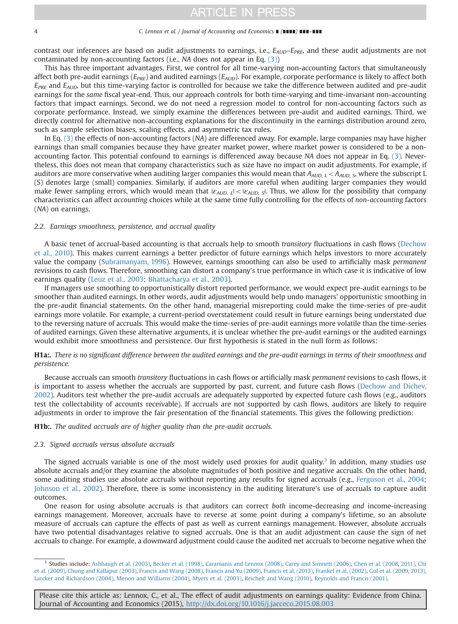#### <span id="page-3-0"></span>4 C. Lennox et al. / Journal of Accounting and Economics ∎ (∎∎∎∎) ∎∎∎–∎∎∎

contrast our inferences are based on audit adjustments to earnings, i.e.,  $E_{AUD}-E_{PRE}$ , and these audit adjustments are not contaminated by non-accounting factors (i.e., NA does not appear in Eq. [\(3\)](#page-2-0))

This has three important advantages. First, we control for all time-varying non-accounting factors that simultaneously affect both pre-audit earnings ( $E_{PRE}$ ) and audited earnings ( $E_{AUD}$ ). For example, corporate performance is likely to affect both  $E_{PRE}$  and  $E_{AUD}$ , but this time-varying factor is controlled for because we take the difference between audited and pre-audit earnings for the same fiscal year-end. Thus, our approach controls for both time-varying and time-invariant non-accounting factors that impact earnings. Second, we do not need a regression model to control for non-accounting factors such as corporate performance. Instead, we simply examine the differences between pre-audit and audited earnings. Third, we directly control for alternative non-accounting explanations for the discontinuity in the earnings distribution around zero, such as sample selection biases, scaling effects, and asymmetric tax rules.

In Eq. [\(3\)](#page-2-0) the effects of non-accounting factors (NA) are differenced away. For example, large companies may have higher earnings than small companies because they have greater market power, where market power is considered to be a nonaccounting factor. This potential confound to earnings is differenced away because NA does not appear in Eq. [\(3\).](#page-2-0) Nevertheless, this does not mean that company characteristics such as size have no impact on audit adjustments. For example, if auditors are more conservative when auditing larger companies this would mean that  $A_{AUD, L} < A_{AUD, S}$ , where the subscript L (S) denotes large (small) companies. Similarly, if auditors are more careful when auditing larger companies they would make fewer sampling errors, which would mean that  $|\varepsilon_{AID}|| < |\varepsilon_{AID}|$ . Thus, we allow for the possibility that company characteristics can affect accounting choices while at the same time fully controlling for the effects of non-accounting factors (NA) on earnings.

#### 2.2. Earnings smoothness, persistence, and accrual quality

A basic tenet of accrual-based accounting is that accruals help to smooth transitory fluctuations in cash flows [\(Dechow](#page-16-0) [et al., 2010](#page-16-0)). This makes current earnings a better predictor of future earnings which helps investors to more accurately value the company ([Subramanyam, 1996\)](#page-17-0). However, earnings smoothing can also be used to artificially mask permanent revisions to cash flows. Therefore, smoothing can distort a company's true performance in which case it is indicative of low earnings quality ([Leuz et al., 2003;](#page-17-0) [Bhattacharya et al., 2003](#page-16-0)).

If managers use smoothing to opportunistically distort reported performance, we would expect pre-audit earnings to be smoother than audited earnings. In other words, audit adjustments would help undo managers' opportunistic smoothing in the pre-audit financial statements. On the other hand, managerial misreporting could make the time-series of pre-audit earnings more volatile. For example, a current-period overstatement could result in future earnings being understated due to the reversing nature of accruals. This would make the time-series of pre-audit earnings more volatile than the time-series of audited earnings. Given these alternative arguments, it is unclear whether the pre-audit earnings or the audited earnings would exhibit more smoothness and persistence. Our first hypothesis is stated in the null form as follows:

# H1a:. There is no significant difference between the audited earnings and the pre-audit earnings in terms of their smoothness and persistence.

Because accruals can smooth transitory fluctuations in cash flows or artificially mask permanent revisions to cash flows, it is important to assess whether the accruals are supported by past, current, and future cash flows [\(Dechow and Dichev,](#page-16-0) [2002](#page-16-0)). Auditors test whether the pre-audit accruals are adequately supported by expected future cash flows (e.g., auditors test the collectability of accounts receivable). If accruals are not supported by cash flows, auditors are likely to require adjustments in order to improve the fair presentation of the financial statements. This gives the following prediction:

## H1b:. The audited accruals are of higher quality than the pre-audit accruals.

## 2.3. Signed accruals versus absolute accruals

The signed accruals variable is one of the most widely used proxies for audit quality.<sup>3</sup> In addition, many studies use absolute accruals and/or they examine the absolute magnitudes of both positive and negative accruals. On the other hand, some auditing studies use absolute accruals without reporting any results for signed accruals (e.g., [Ferguson et al., 2004](#page-16-0); [Johnson et al., 2002](#page-17-0)). Therefore, there is some inconsistency in the auditing literature's use of accruals to capture audit outcomes.

One reason for using absolute accruals is that auditors can correct both income-decreasing and income-increasing earnings management. Moreover, accruals have to reverse at some point during a company's lifetime, so an absolute measure of accruals can capture the effects of past as well as current earnings management. However, absolute accruals have two potential disadvantages relative to signed accruals. One is that an audit adjustment can cause the sign of net accruals to change. For example, a downward adjustment could cause the audited net accruals to become negative when the

<sup>3</sup> Studies include: [Ashbaugh et al. \(2003\)](#page-16-0), [Becker et al. \(1998\),](#page-16-0) [Caramanis and Lennox \(2008\),](#page-16-0) [Carey and Simnett \(2006\),](#page-16-0) [Chen et al. \(2008](#page-16-0), [2011\),](#page-16-0) [Chi](#page-16-0) [et al. \(2009\)](#page-16-0), [Chung and Kallapur \(2003\)](#page-16-0), [Francis and Wang \(2008\)](#page-16-0), [Francis and Yu \(2009\)](#page-16-0), [Francis et al. \(2013\)](#page-16-0), [Frankel et al. \(2002\),](#page-16-0) [Gul et al. \(2009](#page-17-0), [2013\),](#page-17-0) [Larcker and Richardson \(2004\),](#page-17-0) [Menon and Williams \(2004\)](#page-17-0), [Myers et al. \(2003\)](#page-17-0), [Reichelt and Wang \(2010\)](#page-17-0), [Reynolds and Francis \(2001\).](#page-17-0)

Please cite this article as: Lennox, C., et al., The effect of audit adjustments on earnings quality: Evidence from China. Journal of Accounting and Economics (2015), http://dx.doi.org/10.1016/j.jacceco.2015.08.003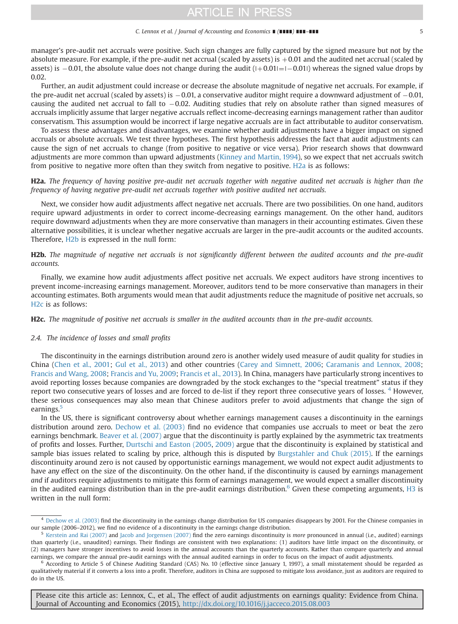#### C. Lennox et al. / Journal of Accounting and Economics ∎ (∎∎∎∎) ∎∎∎–∎∎∎ 5

<span id="page-4-0"></span>manager's pre-audit net accruals were positive. Such sign changes are fully captured by the signed measure but not by the absolute measure. For example, if the pre-audit net accrual (scaled by assets) is  $+0.01$  and the audited net accrual (scaled by assets) is  $-0.01$ , the absolute value does not change during the audit  $(|+0.01| = |-0.01|)$  whereas the signed value drops by 0.02

Further, an audit adjustment could increase or decrease the absolute magnitude of negative net accruals. For example, if the pre-audit net accrual (scaled by assets) is  $-0.01$ , a conservative auditor might require a downward adjustment of  $-0.01$ , causing the audited net accrual to fall to  $-0.02$ . Auditing studies that rely on absolute rather than signed measures of accruals implicitly assume that larger negative accruals reflect income-decreasing earnings management rather than auditor conservatism. This assumption would be incorrect if large negative accruals are in fact attributable to auditor conservatism.

To assess these advantages and disadvantages, we examine whether audit adjustments have a bigger impact on signed accruals or absolute accruals. We test three hypotheses. The first hypothesis addresses the fact that audit adjustments can cause the sign of net accruals to change (from positive to negative or vice versa). Prior research shows that downward adjustments are more common than upward adjustments [\(Kinney and Martin, 1994](#page-17-0)), so we expect that net accruals switch from positive to negative more often than they switch from negative to positive. H2a is as follows:

H2a. The frequency of having positive pre-audit net accruals together with negative audited net accruals is higher than the frequency of having negative pre-audit net accruals together with positive audited net accruals.

Next, we consider how audit adjustments affect negative net accruals. There are two possibilities. On one hand, auditors require upward adjustments in order to correct income-decreasing earnings management. On the other hand, auditors require downward adjustments when they are more conservative than managers in their accounting estimates. Given these alternative possibilities, it is unclear whether negative accruals are larger in the pre-audit accounts or the audited accounts. Therefore, H2b is expressed in the null form:

# H2b. The magnitude of negative net accruals is not significantly different between the audited accounts and the pre-audit accounts.

Finally, we examine how audit adjustments affect positive net accruals. We expect auditors have strong incentives to prevent income-increasing earnings management. Moreover, auditors tend to be more conservative than managers in their accounting estimates. Both arguments would mean that audit adjustments reduce the magnitude of positive net accruals, so H2c is as follows:

H2c. The magnitude of positive net accruals is smaller in the audited accounts than in the pre-audit accounts.

## 2.4. The incidence of losses and small profits

The discontinuity in the earnings distribution around zero is another widely used measure of audit quality for studies in China ([Chen et al., 2001;](#page-16-0) [Gul et al., 2013](#page-17-0)) and other countries ([Carey and Simnett, 2006;](#page-16-0) [Caramanis and Lennox, 2008](#page-16-0); [Francis and Wang, 2008;](#page-16-0) [Francis and Yu, 2009](#page-16-0); [Francis et al., 2013\)](#page-16-0). In China, managers have particularly strong incentives to avoid reporting losses because companies are downgraded by the stock exchanges to the "special treatment" status if they report two consecutive years of losses and are forced to de-list if they report three consecutive years of losses. <sup>4</sup> However, these serious consequences may also mean that Chinese auditors prefer to avoid adjustments that change the sign of earnings.<sup>5</sup>

In the US, there is significant controversy about whether earnings management causes a discontinuity in the earnings distribution around zero. [Dechow et al. \(2003\)](#page-16-0) find no evidence that companies use accruals to meet or beat the zero earnings benchmark. [Beaver et al. \(2007\)](#page-16-0) argue that the discontinuity is partly explained by the asymmetric tax treatments of profits and losses. Further, [Durtschi and Easton \(2005,](#page-16-0) [2009\)](#page-16-0) argue that the discontinuity is explained by statistical and sample bias issues related to scaling by price, although this is disputed by [Burgstahler and Chuk \(2015\)](#page-16-0). If the earnings discontinuity around zero is not caused by opportunistic earnings management, we would not expect audit adjustments to have any effect on the size of the discontinuity. On the other hand, if the discontinuity is caused by earnings management and if auditors require adjustments to mitigate this form of earnings management, we would expect a smaller discontinuity in the audited earnings distribution than in the pre-audit earnings distribution.<sup>6</sup> Given these competing arguments, [H3](#page-5-0) is written in the null form:

 $4$  [Dechow et al. \(2003\)](#page-16-0) find the discontinuity in the earnings change distribution for US companies disappears by 2001. For the Chinese companies in our sample (2006–2012), we find no evidence of a discontinuity in the earnings change distribution.

<sup>&</sup>lt;sup>5</sup> [Kerstein and Rai \(2007\)](#page-17-0) and [Jacob and Jorgensen \(2007\)](#page-17-0) find the zero earnings discontinuity is more pronounced in annual (i.e., audited) earnings than quarterly (i.e., unaudited) earnings. Their findings are consistent with two explanations: (1) auditors have little impact on the discontinuity, or (2) managers have stronger incentives to avoid losses in the annual accounts than the quarterly accounts. Rather than compare quarterly and annual earnings, we compare the annual pre-audit earnings with the annual audited earnings in order to focus on the impact of audit adjustments.

 $6$  According to Article 5 of Chinese Auditing Standard (CAS) No. 10 (effective since January 1, 1997), a small misstatement should be regarded as qualitatively material if it converts a loss into a profit. Therefore, auditors in China are supposed to mitigate loss avoidance, just as auditors are required to do in the US.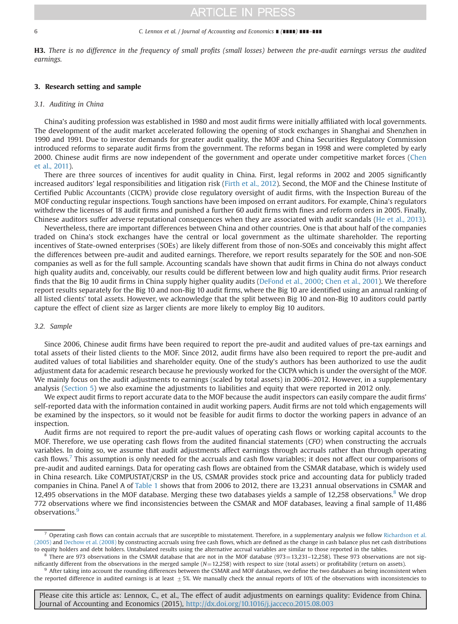#### <span id="page-5-0"></span>6 C. Lennox et al. / Journal of Accounting and Economics ∎ (∎∎∎∎) ∎∎∎–∎∎∎

H3. There is no difference in the frequency of small profits (small losses) between the pre-audit earnings versus the audited earnings.

### 3. Research setting and sample

## 3.1. Auditing in China

China's auditing profession was established in 1980 and most audit firms were initially affiliated with local governments. The development of the audit market accelerated following the opening of stock exchanges in Shanghai and Shenzhen in 1990 and 1991. Due to investor demands for greater audit quality, the MOF and China Securities Regulatory Commission introduced reforms to separate audit firms from the government. The reforms began in 1998 and were completed by early 2000. Chinese audit firms are now independent of the government and operate under competitive market forces ([Chen](#page-16-0) [et al., 2011](#page-16-0)).

There are three sources of incentives for audit quality in China. First, legal reforms in 2002 and 2005 significantly increased auditors' legal responsibilities and litigation risk [\(Firth et al., 2012\)](#page-16-0). Second, the MOF and the Chinese Institute of Certified Public Accountants (CICPA) provide close regulatory oversight of audit firms, with the Inspection Bureau of the MOF conducting regular inspections. Tough sanctions have been imposed on errant auditors. For example, China's regulators withdrew the licenses of 18 audit firms and punished a further 60 audit firms with fines and reform orders in 2005. Finally, Chinese auditors suffer adverse reputational consequences when they are associated with audit scandals [\(He et al., 2013](#page-17-0)).

Nevertheless, there are important differences between China and other countries. One is that about half of the companies traded on China's stock exchanges have the central or local government as the ultimate shareholder. The reporting incentives of State-owned enterprises (SOEs) are likely different from those of non-SOEs and conceivably this might affect the differences between pre-audit and audited earnings. Therefore, we report results separately for the SOE and non-SOE companies as well as for the full sample. Accounting scandals have shown that audit firms in China do not always conduct high quality audits and, conceivably, our results could be different between low and high quality audit firms. Prior research finds that the Big 10 audit firms in China supply higher quality audits ([DeFond et al., 2000;](#page-16-0) [Chen et al., 2001](#page-16-0)). We therefore report results separately for the Big 10 and non-Big 10 audit firms, where the Big 10 are identified using an annual ranking of all listed clients' total assets. However, we acknowledge that the split between Big 10 and non-Big 10 auditors could partly capture the effect of client size as larger clients are more likely to employ Big 10 auditors.

## 3.2. Sample

Since 2006, Chinese audit firms have been required to report the pre-audit and audited values of pre-tax earnings and total assets of their listed clients to the MOF. Since 2012, audit firms have also been required to report the pre-audit and audited values of total liabilities and shareholder equity. One of the study's authors has been authorized to use the audit adjustment data for academic research because he previously worked for the CICPA which is under the oversight of the MOF. We mainly focus on the audit adjustments to earnings (scaled by total assets) in 2006–2012. However, in a supplementary analysis [\(Section 5\)](#page-14-0) we also examine the adjustments to liabilities and equity that were reported in 2012 only.

We expect audit firms to report accurate data to the MOF because the audit inspectors can easily compare the audit firms' self-reported data with the information contained in audit working papers. Audit firms are not told which engagements will be examined by the inspectors, so it would not be feasible for audit firms to doctor the working papers in advance of an inspection.

Audit firms are not required to report the pre-audit values of operating cash flows or working capital accounts to the MOF. Therefore, we use operating cash flows from the audited financial statements (CFO) when constructing the accruals variables. In doing so, we assume that audit adjustments affect earnings through accruals rather than through operating cash flows.7 This assumption is only needed for the accruals and cash flow variables; it does not affect our comparisons of pre-audit and audited earnings. Data for operating cash flows are obtained from the CSMAR database, which is widely used in China research. Like COMPUSTAT/CRSP in the US, CSMAR provides stock price and accounting data for publicly traded companies in China. Panel A of [Table 1](#page-6-0) shows that from 2006 to 2012, there are 13,231 annual observations in CSMAR and 12,495 observations in the MOF database. Merging these two databases yields a sample of 12,258 observations.<sup>8</sup> We drop 772 observations where we find inconsistencies between the CSMAR and MOF databases, leaving a final sample of 11,486 observations.<sup>9</sup>

<sup>7</sup> Operating cash flows can contain accruals that are susceptible to misstatement. Therefore, in a supplementary analysis we follow [Richardson et al.](#page-17-0) [\(2005\)](#page-17-0) and [Dechow et al. \(2008\)](#page-16-0) by constructing accruals using free cash flows, which are defined as the change in cash balance plus net cash distributions to equity holders and debt holders. Untabulated results using the alternative accrual variables are similar to those reported in the tables.

<sup>&</sup>lt;sup>8</sup> There are 973 observations in the CSMAR database that are not in the MOF database (973=13,231-12,258). These 973 observations are not sig-<br>nificantly different from the observations in the merged sample ( $N=12,258$ ) w

 $9$  After taking into account the rounding differences between the CSMAR and MOF databases, we define the two databases as being inconsistent when the reported difference in audited earnings is at least  $\pm 5$ %. We manually check the annual reports of 10% of the observations with inconsistencies to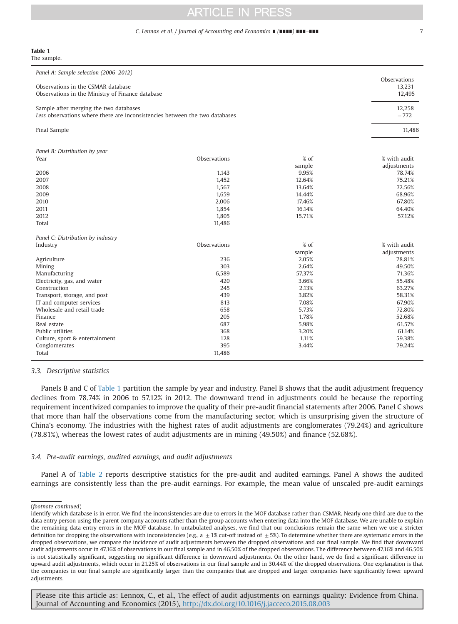#### C. Lennox et al. / Journal of Accounting and Economics ■ (■■■■) ■■■ ■■■ 7

<span id="page-6-0"></span>

| Table 1     |  |  |
|-------------|--|--|
| The sample. |  |  |

| Panel A: Sample selection (2006-2012)                                       |              |        | Observations |
|-----------------------------------------------------------------------------|--------------|--------|--------------|
| Observations in the CSMAR database                                          |              |        | 13,231       |
| Observations in the Ministry of Finance database                            |              |        | 12,495       |
|                                                                             |              |        |              |
| Sample after merging the two databases                                      |              |        | 12,258       |
| Less observations where there are inconsistencies between the two databases |              |        | $-772$       |
|                                                                             |              |        |              |
| Final Sample                                                                |              |        | 11.486       |
|                                                                             |              |        |              |
| Panel B: Distribution by year                                               |              |        |              |
| Year                                                                        | Observations | $%$ of | % with audit |
|                                                                             |              | sample | adjustments  |
| 2006                                                                        | 1,143        | 9.95%  | 78.74%       |
| 2007                                                                        | 1,452        | 12.64% | 75.21%       |
| 2008                                                                        | 1.567        | 13.64% | 72.56%       |
| 2009                                                                        | 1,659        | 14.44% | 68.96%       |
| 2010                                                                        | 2,006        | 17.46% | 67.80%       |
| 2011                                                                        | 1,854        | 16.14% | 64.40%       |
| 2012                                                                        | 1,805        | 15.71% | 57.12%       |
|                                                                             |              |        |              |
| Total                                                                       | 11,486       |        |              |
| Panel C: Distribution by industry                                           |              |        |              |
| Industry                                                                    | Observations | % of   | % with audit |
|                                                                             |              | sample | adjustments  |
| Agriculture                                                                 | 236          | 2.05%  | 78.81%       |
| Mining                                                                      | 303          | 2.64%  | 49.50%       |
| Manufacturing                                                               | 6,589        | 57.37% | 71.36%       |
| Electricity, gas, and water                                                 | 420          | 3.66%  | 55.48%       |
| Construction                                                                | 245          | 2.13%  | 63.27%       |
| Transport, storage, and post                                                | 439          | 3.82%  | 58.31%       |
| IT and computer services                                                    | 813          | 7.08%  | 67.90%       |
| Wholesale and retail trade                                                  | 658          | 5.73%  | 72.80%       |
| Finance                                                                     | 205          | 1.78%  | 52.68%       |
| Real estate                                                                 | 687          | 5.98%  | 61.57%       |
| Public utilities                                                            | 368          | 3.20%  | 61.14%       |
|                                                                             |              | 1.11%  | 59.38%       |
| Culture, sport & entertainment                                              | 128          |        |              |
| Conglomerates                                                               | 395          | 3.44%  | 79.24%       |
| Total                                                                       | 11,486       |        |              |

3.3. Descriptive statistics

Panels B and C of Table 1 partition the sample by year and industry. Panel B shows that the audit adjustment frequency declines from 78.74% in 2006 to 57.12% in 2012. The downward trend in adjustments could be because the reporting requirement incentivized companies to improve the quality of their pre-audit financial statements after 2006. Panel C shows that more than half the observations come from the manufacturing sector, which is unsurprising given the structure of China's economy. The industries with the highest rates of audit adjustments are conglomerates (79.24%) and agriculture (78.81%), whereas the lowest rates of audit adjustments are in mining (49.50%) and finance (52.68%).

## 3.4. Pre-audit earnings, audited earnings, and audit adjustments

Panel A of [Table 2](#page-7-0) reports descriptive statistics for the pre-audit and audited earnings. Panel A shows the audited earnings are consistently less than the pre-audit earnings. For example, the mean value of unscaled pre-audit earnings

<sup>(</sup>footnote continued)

identify which database is in error. We find the inconsistencies are due to errors in the MOF database rather than CSMAR. Nearly one third are due to the data entry person using the parent company accounts rather than the group accounts when entering data into the MOF database. We are unable to explain the remaining data entry errors in the MOF database. In untabulated analyses, we find that our conclusions remain the same when we use a stricter definition for dropping the observations with inconsistencies (e.g., a  $\pm$  1% cut-off instead of  $\pm$  5%). To determine whether there are systematic errors in the dropped observations, we compare the incidence of audit adjustments between the dropped observations and our final sample. We find that downward audit adjustments occur in 47.16% of observations in our final sample and in 46.50% of the dropped observations. The difference between 47.16% and 46.50% is not statistically significant, suggesting no significant difference in downward adjustments. On the other hand, we do find a significant difference in upward audit adjustments, which occur in 21.25% of observations in our final sample and in 30.44% of the dropped observations. One explanation is that the companies in our final sample are significantly larger than the companies that are dropped and larger companies have significantly fewer upward adjustments.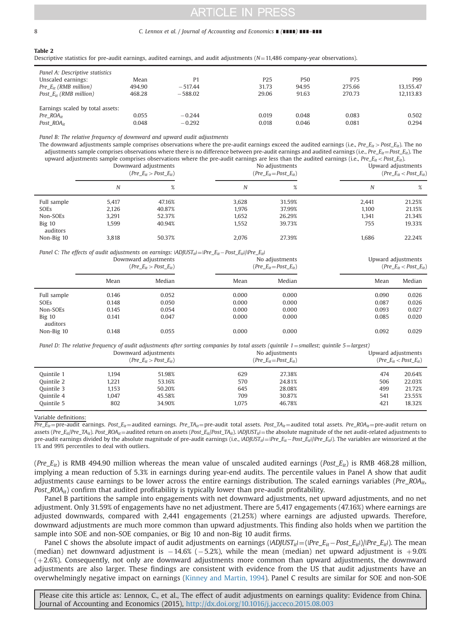#### <span id="page-7-0"></span>8 C. Lennox et al. / Journal of Accounting and Economics ∎ (∎∎∎∎) ∎∎∎–∎∎∎

#### Table 2

Descriptive statistics for pre-audit earnings, audited earnings, and audit adjustments  $(N=11,486$  company-year observations).

| Panel A: Descriptive statistics  |        |           |                 |       |        |           |
|----------------------------------|--------|-----------|-----------------|-------|--------|-----------|
| Unscaled earnings:               | Mean   | P1        | P <sub>25</sub> | P50   | P75    | P99       |
| $Pre_{-}E_{it}$ (RMB million)    | 494.90 | $-517.44$ | 31.73           | 94.95 | 275.66 | 13.155.47 |
| Post $E_{ir}$ (RMB million)      | 468.28 | $-588.02$ | 29.06           | 91.63 | 270.73 | 12.113.83 |
| Earnings scaled by total assets: |        |           |                 |       |        |           |
| Pre $ROA_{it}$                   | 0.055  | $-0.244$  | 0.019           | 0.048 | 0.083  | 0.502     |
| Post $ROA_{it}$                  | 0.048  | $-0.292$  | 0.018           | 0.046 | 0.081  | 0.294     |

Panel B: The relative frequency of downward and upward audit adjustments

The downward adjustments sample comprises observations where the pre-audit earnings exceed the audited earnings (i.e.,  $Pre_{-Et}$   $\geq$   $Post_{-Et}$ ). The no adjustments sample comprises observations where there is no difference between pre-audit earnings and audited earnings (i.e.,  $Pre_{E} = Post_{it}$ ). The upward adjustments sample comprises observations where the pre-audit earnings are less than the audited earnings (i.e., Pre  $E_i \leq Post_{i}E_i$ 

|                      | upwaru aujustments sampie comprises observations where the pre-audit carinitys are less than the audited carinitys (hel, <i>FIC_Gif</i> $\sim$ FOst_Gif).<br>Downward adjustments<br>(Pre $E_{it}$ > Post $E_{it}$ ) |        |       | No adjustments<br>(Pre $E_{it}$ =Post $E_{it}$ ) |       | Upward adjustments<br>(Pre $E_{it}$ < Post $E_{it}$ ) |  |
|----------------------|----------------------------------------------------------------------------------------------------------------------------------------------------------------------------------------------------------------------|--------|-------|--------------------------------------------------|-------|-------------------------------------------------------|--|
|                      | N                                                                                                                                                                                                                    | %      | Ν     | %                                                | N     | %                                                     |  |
| Full sample          | 5.417                                                                                                                                                                                                                | 47.16% | 3.628 | 31.59%                                           | 2.441 | 21.25%                                                |  |
| SOEs                 | 2.126                                                                                                                                                                                                                | 40.87% | 1.976 | 37.99%                                           | 1.100 | 21.15%                                                |  |
| Non-SOEs             | 3.291                                                                                                                                                                                                                | 52.37% | 1.652 | 26.29%                                           | 1.341 | 21.34%                                                |  |
| $Big$ 10<br>auditors | 1.599                                                                                                                                                                                                                | 40.94% | 1.552 | 39.73%                                           | 755   | 19.33%                                                |  |
| Non-Big 10           | 3.818                                                                                                                                                                                                                | 50.37% | 2.076 | 27.39%                                           | 1.686 | 22.24%                                                |  |

Panel C: The effects of audit adjustments on earnings:  $|AD|UST_{it}|=|Pre_E_{it}-Post_E_{it}|/|Pre_E_{it}|$ 

|                      |       | Downward adjustments<br>(Pre $E_{it}$ > Post $E_{it}$ ) | No adjustments<br>(Pre $E_{it}$ =Post $E_{it}$ ) |        | Upward adjustments | (Pre $E_{it}$ < Post $E_{it}$ ) |
|----------------------|-------|---------------------------------------------------------|--------------------------------------------------|--------|--------------------|---------------------------------|
|                      | Mean  | Median                                                  | Mean                                             | Median | Mean               | Median                          |
| Full sample          | 0.146 | 0.052                                                   | 0.000                                            | 0.000  | 0.090              | 0.026                           |
| SOEs                 | 0.148 | 0.050                                                   | 0.000                                            | 0.000  | 0.087              | 0.026                           |
| Non-SOEs             | 0.145 | 0.054                                                   | 0.000                                            | 0.000  | 0.093              | 0.027                           |
| $Big$ 10<br>auditors | 0.141 | 0.047                                                   | 0.000                                            | 0.000  | 0.085              | 0.020                           |
| Non-Big 10           | 0.148 | 0.055                                                   | 0.000                                            | 0.000  | 0.092              | 0.029                           |

Panel D: The relative frequency of audit adjustments after sorting companies by total assets (quintile  $1=$ smallest; quintile  $5=$ largest)

|            |       | Downward adjustments<br>(Pre $E_{it}$ > Post $E_{it}$ ) | No adjustments<br>(Pre $E_{it}$ =Post $E_{it}$ ) |        | Upward adjustments | (Pre $E_{it}$ < Post $E_{it}$ ) |
|------------|-------|---------------------------------------------------------|--------------------------------------------------|--------|--------------------|---------------------------------|
| Quintile 1 | 1.194 | 51.98%                                                  | 629                                              | 27.38% | 474                | 20.64%                          |
| Ouintile 2 | 1.221 | 53.16%                                                  | 570                                              | 24.81% | 506                | 22.03%                          |
| Quintile 3 | 1.153 | 50.20%                                                  | 645                                              | 28.08% | 499                | 21.72%                          |
| Quintile 4 | 1.047 | 45.58%                                                  | 709                                              | 30.87% | 541                | 23.55%                          |
| Ouintile 5 | 802   | 34.90%                                                  | 1.075                                            | 46.78% | 421                | 18.32%                          |

Variable definitions:

 $Pre\_E_{it}$ =pre-audit earnings. Post\_E<sub>it</sub>=audited earnings. Pre\_TA<sub>it</sub>=pre-audit total assets. Post\_TA<sub>it</sub>=audited total assets. Pre\_ROA<sub>it</sub>=pre-audit return on assets (Pre\_E<sub>it</sub>/Pre\_TA<sub>it</sub>). Post\_ROA<sub>it</sub> = audited return on assets (Post\_E<sub>it</sub>/Post\_TA<sub>it</sub>). *ADJUST<sub>it</sub>*| = the absolute magnitude of the net audit-related adjustments to pre-audit earnings divided by the absolute magnitude of pre-audit earnings (i.e.,  $|ADJUT_{it}| = |Pre_E_{it} - Post_E_{it}|/Pre_E_{it}|$ ). The variables are winsorized at the 1% and 99% percentiles to deal with outliers.

(Pre<sub>-Eit</sub>) is RMB 494.90 million whereas the mean value of unscaled audited earnings (Post<sub>-Eit</sub>) is RMB 468.28 million, implying a mean reduction of 5.3% in earnings during year-end audits. The percentile values in Panel A show that audit adjustments cause earnings to be lower across the entire earnings distribution. The scaled earnings variables ( $Pre\_ROA_{it}$ , Post\_ROA<sub>it</sub>) confirm that audited profitability is typically lower than pre-audit profitability.

Panel B partitions the sample into engagements with net downward adjustments, net upward adjustments, and no net adjustment. Only 31.59% of engagements have no net adjustment. There are 5,417 engagements (47.16%) where earnings are adjusted downwards, compared with 2,441 engagements (21.25%) where earnings are adjusted upwards. Therefore, downward adjustments are much more common than upward adjustments. This finding also holds when we partition the sample into SOE and non-SOE companies, or Big 10 and non-Big 10 audit firms.

Panel C shows the absolute impact of audit adjustments on earnings  $(ADJUST_{it})=(PPe_E_{it}-Post_E_{it})/|Pre_E_{it}|$ . The mean (median) net downward adjustment is  $-14.6\%$  ( $-5.2\%$ ), while the mean (median) net upward adjustment is  $+9.0\%$  $(+2.6%)$ . Consequently, not only are downward adjustments more common than upward adjustments, the downward adjustments are also larger. These findings are consistent with evidence from the US that audit adjustments have an overwhelmingly negative impact on earnings [\(Kinney and Martin, 1994\)](#page-17-0). Panel C results are similar for SOE and non-SOE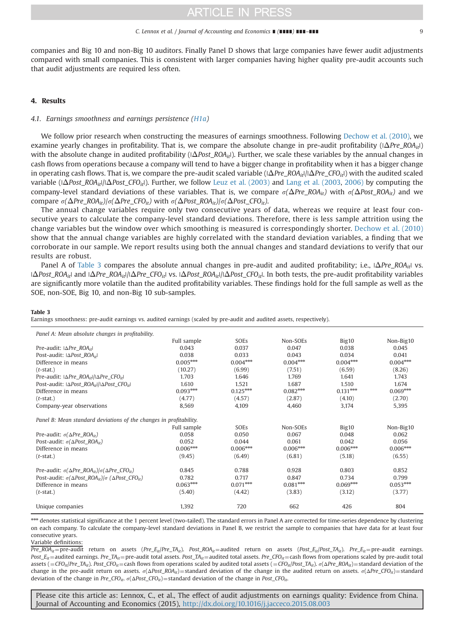<span id="page-8-0"></span>companies and Big 10 and non-Big 10 auditors. Finally Panel D shows that large companies have fewer audit adjustments compared with small companies. This is consistent with larger companies having higher quality pre-audit accounts such that audit adjustments are required less often.

## 4. Results

# 4.1. Earnings smoothness and earnings persistence ([H1a](#page-3-0))

We follow prior research when constructing the measures of earnings smoothness. Following [Dechow et al. \(2010\)](#page-16-0), we examine yearly changes in profitability. That is, we compare the absolute change in pre-audit profitability  $(|\Delta Pre~ROA_{il}|)$ with the absolute change in audited profitability ( $|\Delta Post_ROA_{it}|$ ). Further, we scale these variables by the annual changes in cash flows from operations because a company will tend to have a bigger change in profitability when it has a bigger change in operating cash flows. That is, we compare the pre-audit scaled variable  $(|\Delta Pre\_ROA_{it}|/|\Delta Pre\_CPO_{it}|)$  with the audited scaled variable ( $|\Delta$ Post\_ROA<sub>it</sub>|/ $\Delta$ Post\_CFO<sub>it</sub>|). Further, we follow [Leuz et al. \(2003\)](#page-17-0) and [Lang et al. \(2003](#page-17-0), [2006\)](#page-17-0) by computing the company-level standard deviations of these variables. That is, we compare  $\sigma(\Delta Pre\_ROA_{it})$  with  $\sigma(\Delta Post\_ROA_{it})$  and we compare  $\sigma(\Delta Pre\_ROA_{it})/\sigma(\Delta Pre\_CFO_{it})$  with  $\sigma(\Delta Post\_ROA_{it})/\sigma(\Delta Post\_CFO_{it}).$ 

The annual change variables require only two consecutive years of data, whereas we require at least four consecutive years to calculate the company-level standard deviations. Therefore, there is less sample attrition using the change variables but the window over which smoothing is measured is correspondingly shorter. [Dechow et al. \(2010\)](#page-16-0) show that the annual change variables are highly correlated with the standard deviation variables, a finding that we corroborate in our sample. We report results using both the annual changes and standard deviations to verify that our results are robust.

Panel A of Table 3 compares the absolute annual changes in pre-audit and audited profitability; i.e.,  $|\Delta Pre_ROA_{ir}|$  vs.  $|\Delta$ Post ROA<sub>it</sub>| and  $|\Delta$ Pre\_ROA<sub>it</sub>|/| $\Delta$ Pre\_CFO<sub>it</sub>| vs. | $\Delta$ Post\_ROA<sub>it</sub>|/| $\Delta$ Post\_CFO<sub>it</sub>|. In both tests, the pre-audit profitability variables are significantly more volatile than the audited profitability variables. These findings hold for the full sample as well as the SOE, non-SOE, Big 10, and non-Big 10 sub-samples.

#### Table 3

Earnings smoothness: pre-audit earnings vs. audited earnings (scaled by pre-audit and audited assets, respectively).

| Panel A: Mean absolute changes in profitability.                               |             |             |            |                   |            |  |
|--------------------------------------------------------------------------------|-------------|-------------|------------|-------------------|------------|--|
|                                                                                | Full sample | <b>SOEs</b> | Non-SOEs   | Big <sub>10</sub> | Non-Big10  |  |
| Pre-audit: $ \Delta Pre$ ROA <sub>it</sub> l                                   | 0.043       | 0.037       | 0.047      | 0.038             | 0.045      |  |
| Post-audit: $ \Delta Post$ ROA <sub>it</sub>                                   | 0.038       | 0.033       | 0.043      | 0.034             | 0.041      |  |
| Difference in means                                                            | $0.005***$  | $0.004***$  | $0.004***$ | $0.004***$        | $0.004***$ |  |
| $(t$ -stat.)                                                                   | (10.27)     | (6.99)      | (7.51)     | (6.59)            | (8.26)     |  |
| Pre-audit: $ \Delta Pre\_ROA_{it} / \Delta Pre\_CFO_{it} $                     | 1.703       | 1.646       | 1.769      | 1.641             | 1.743      |  |
| Post-audit: I∆Post_ROA <sub>it</sub>  /I∆Post_CFO <sub>it</sub>                | 1.610       | 1.521       | 1.687      | 1.510             | 1.674      |  |
| Difference in means                                                            | $0.093***$  | $0.125***$  | $0.082***$ | $0.131***$        | $0.069***$ |  |
| $(t$ -stat.)                                                                   | (4.77)      | (4.57)      | (2.87)     | (4.10)            | (2.70)     |  |
| Company-year observations                                                      | 8,569       | 4,109       | 4,460      | 3,174             | 5,395      |  |
| Panel B: Mean standard deviations of the changes in profitability.             |             |             |            |                   |            |  |
|                                                                                | Full sample | SOEs        | Non-SOEs   | Big10             | Non-Big10  |  |
| Pre-audit: $\sigma(\Delta Pre\_ROA_{it})$                                      | 0.058       | 0.050       | 0.067      | 0.048             | 0.062      |  |
| Post-audit: $\sigma(\Delta Post \, ROA_{it})$                                  | 0.052       | 0.044       | 0.061      | 0.042             | 0.056      |  |
| Difference in means                                                            | $0.006***$  | $0.006***$  | $0.006***$ | $0.006***$        | $0.006***$ |  |
| $(t$ -stat.)                                                                   | (9.45)      | (6.49)      | (6.81)     | (5.18)            | (6.55)     |  |
| Pre-audit: $\sigma(\Delta Pre~ROA_{it})/\sigma(\Delta Pre~CFO_{it})$           | 0.845       | 0.788       | 0.928      | 0.803             | 0.852      |  |
| Post-audit: $\sigma(\Delta Post\_ROA_{it})/\sigma$ ( $\Delta Post\_CFO_{it}$ ) | 0.782       | 0.717       | 0.847      | 0.734             | 0.799      |  |
| Difference in means                                                            | $0.063***$  | $0.071***$  | $0.081***$ | $0.069***$        | $0.053***$ |  |
| $(t$ -stat.)                                                                   | (5.40)      | (4.42)      | (3.83)     | (3.12)            | (3.77)     |  |
| Unique companies                                                               | 1,392       | 720         | 662        | 426               | 804        |  |

\*\*\* denotes statistical significance at the 1 percent level (two-tailed). The standard errors in Panel A are corrected for time-series dependence by clustering on each company. To calculate the company-level standard deviations in Panel B, we restrict the sample to companies that have data for at least four consecutive years.

## Variable definitions:

 $Pre\_ROA_{it}$ = pre-audit return on assets (Pre\_E<sub>it</sub>/Pre\_TA<sub>it</sub>). Post\_ROA<sub>it</sub> = audited return on assets (Post\_E<sub>it</sub>/Post\_TA<sub>it</sub>). Pre\_E<sub>it</sub> = pre-audit earnings. Post\_E<sub>it</sub> = audited earnings. Pre\_TA<sub>it</sub> = pre-audit total assets. Post\_TA<sub>it</sub> = audited total assets. Pre\_CFO<sub>it</sub> = cash flows from operations scaled by pre-audit total assets ( $=CFO_{ii}/Pre\_TA_{ii}$ ). Post\_CFO<sub>it</sub>=cash flows from operations scaled by audited total assets ( $=$ CFO<sub>it</sub>/Post\_TA<sub>it</sub>),  $\sigma(\Delta Pre\_ROA_{it})$  = standard deviation of the change in the pre-audit return on assets.  $\sigma(\Delta Post\_ROA_{it})$  = standard deviation of the change in the audited return on assets.  $\sigma(\Delta Pre\_CFO_{it})$  = standard deviation of the change in Pre\_CFO<sub>it</sub>.  $\sigma(\Delta Post\_CFO_{it})$  = standard deviation of the change in Post\_CFO<sub>it</sub>.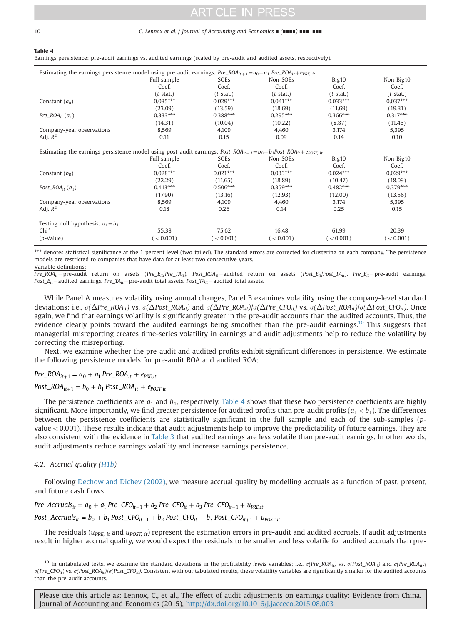#### 10 C. Lennox et al. / Journal of Accounting and Economics ∎ (∎∎∎∎) ∎∎∎–∎∎∎

#### Table 4

Earnings persistence: pre-audit earnings vs. audited earnings (scaled by pre-audit and audited assets, respectively).

| Estimating the earnings persistence model using pre-audit earnings: Pre_ROA <sub>it+1</sub> =a <sub>0</sub> +a <sub>1</sub> Pre_ROA <sub>it</sub> +e <sub>PRE, it</sub>    |              |              |              |                   |              |  |
|----------------------------------------------------------------------------------------------------------------------------------------------------------------------------|--------------|--------------|--------------|-------------------|--------------|--|
|                                                                                                                                                                            | Full sample  | <b>SOEs</b>  | Non-SOEs     | Big <sub>10</sub> | Non-Big10    |  |
|                                                                                                                                                                            | Coef.        | Coef.        | Coef.        | Coef.             | Coef.        |  |
|                                                                                                                                                                            | $(t$ -stat.) | $(t$ -stat.) | $(t$ -stat.) | $(t$ -stat.)      | $(t$ -stat.) |  |
| Constant $(a_0)$                                                                                                                                                           | $0.035***$   | $0.029***$   | $0.041***$   | $0.033***$        | $0.037***$   |  |
|                                                                                                                                                                            | (23.09)      | (13.59)      | (18.69)      | (11.69)           | (19.31)      |  |
| $Pre\_ROA_{it}(a_1)$                                                                                                                                                       | $0.333***$   | $0.388***$   | $0.295***$   | $0.366***$        | $0.317***$   |  |
|                                                                                                                                                                            | (14.31)      | (10.04)      | (10.22)      | (8.87)            | (11.46)      |  |
| Company-year observations                                                                                                                                                  | 8,569        | 4,109        | 4,460        | 3,174             | 5,395        |  |
| Adj. $R^2$                                                                                                                                                                 | 0.11         | 0.15         | 0.09         | 0.14              | 0.10         |  |
|                                                                                                                                                                            |              |              |              |                   |              |  |
| Estimating the earnings persistence model using post-audit earnings: Post_ROA <sub>it+1</sub> =b <sub>0</sub> +b <sub>1</sub> Post_ROA <sub>it</sub> +e <sub>post_it</sub> |              |              |              |                   |              |  |
|                                                                                                                                                                            | Full sample  | SOEs         | Non-SOEs     | Big10             | Non-Big10    |  |
|                                                                                                                                                                            | Coef.        | Coef.        | Coef.        | Coef.             | Coef.        |  |
| Constant $(b_0)$                                                                                                                                                           | $0.028***$   | $0.021***$   | $0.033***$   | $0.024***$        | $0.029***$   |  |
|                                                                                                                                                                            | (22.29)      | (11.65)      | (18.89)      | (10.47)           | (18.09)      |  |
| Post_RO $A_{it}$ ( $b_1$ )                                                                                                                                                 | $0.413***$   | $0.506***$   | $0.359***$   | $0.482***$        | $0.379***$   |  |
|                                                                                                                                                                            | (17.90)      | (13.16)      | (12.93)      | (12.00)           | (13.56)      |  |
| Company-year observations                                                                                                                                                  | 8,569        | 4,109        | 4,460        | 3,174             | 5,395        |  |
| Adj. $R^2$                                                                                                                                                                 | 0.18         | 0.26         | 0.14         | 0.25              | 0.15         |  |
|                                                                                                                                                                            |              |              |              |                   |              |  |
| Testing null hypothesis: $a_1 = b_1$ .                                                                                                                                     |              |              |              |                   |              |  |
| Chi <sup>2</sup>                                                                                                                                                           | 55.38        | 75.62        | 16.48        | 61.99             | 20.39        |  |
| $(p-Value)$                                                                                                                                                                | (< 0.001)    | ( < 0.001)   | (< 0.001)    | (< 0.001)         | (< 0.001)    |  |

\*\*\* denotes statistical significance at the 1 percent level (two-tailed). The standard errors are corrected for clustering on each company. The persistence models are restricted to companies that have data for at least two consecutive years.

Variable definitions:

 $Pre\_ROA_{it}$ = pre-audit return on assets (Pre\_E<sub>it</sub>/Pre\_TA<sub>it</sub>). Post\_ROA<sub>it</sub>=audited return on assets (Post\_E<sub>it</sub>/Post\_TA<sub>it</sub>). Pre\_E<sub>it</sub> = pre-audit earnings. Post\_ $E_{it}$  = audited earnings. Pre\_TA<sub>it</sub> = pre-audit total assets. Post\_TA<sub>it</sub> = audited total assets.

While Panel A measures volatility using annual changes, Panel B examines volatility using the company-level standard deviations; i.e.,  $\sigma(\Delta Pre\_ROA_{it})$  vs.  $\sigma(\Delta Post\_ROA_{it})$  and  $\sigma(\Delta Pre\_ROA_{it})/\sigma(\Delta Pre\_CFO_{it})$  vs.  $\sigma(\Delta Post\_ROA_{it})/\sigma(\Delta Post\_CFO_{it})$ . Once again, we find that earnings volatility is significantly greater in the pre-audit accounts than the audited accounts. Thus, the evidence clearly points toward the audited earnings being smoother than the pre-audit earnings.<sup>10</sup> This suggests that managerial misreporting creates time-series volatility in earnings and audit adjustments help to reduce the volatility by correcting the misreporting.

Next, we examine whether the pre-audit and audited profits exhibit significant differences in persistence. We estimate the following persistence models for pre-audit ROA and audited ROA:

 $Pre\_ROA_{it+1} = a_0 + a_1 Pre\_ROA_{it} + e_{PRE,it}$  $Post\_ROA_{it+1} = b_0 + b_1 Post\_ROA_{it} + e_{POST,it}$ 

The persistence coefficients are  $a_1$  and  $b_1$ , respectively. Table 4 shows that these two persistence coefficients are highly significant. More importantly, we find greater persistence for audited profits than pre-audit profits  $(a_1 < b_1)$ . The differences between the persistence coefficients are statistically significant in the full sample and each of the sub-samples (pvalue  $<$  0.001). These results indicate that audit adjustments help to improve the predictability of future earnings. They are also consistent with the evidence in [Table 3](#page-8-0) that audited earnings are less volatile than pre-audit earnings. In other words, audit adjustments reduce earnings volatility and increase earnings persistence.

## 4.2. Accrual quality ([H1b](#page-3-0))

Following [Dechow and Dichev \(2002\),](#page-16-0) we measure accrual quality by modelling accruals as a function of past, present, and future cash flows:

Pre\_Accruals<sub>it</sub> =  $a_0 + a_1$  Pre\_CFO<sub>it - 1</sub> +  $a_2$  Pre\_CFO<sub>it</sub> +  $a_3$  Pre\_CFO<sub>it+1</sub> +  $u_{PRE,ii}$ 

 $Post\_Accruals_{it} = b_0 + b_1\, Post\_CFO_{it-1} + b_2\, Post\_CFO_{it} + b_3\, Post\_CFO_{it+1} + u_{POST,it}$ 

The residuals ( $u_{PRE, it}$  and  $u_{POST, it}$ ) represent the estimation errors in pre-audit and audited accruals. If audit adjustments result in higher accrual quality, we would expect the residuals to be smaller and less volatile for audited accruals than pre-

<sup>&</sup>lt;sup>10</sup> In untabulated tests, we examine the standard deviations in the profitability levels variables; i.e.,  $\sigma(Pre\_ROA_{it})$  vs.  $\sigma(Post\_ROA_{it})$  and  $\sigma(Pre\_ROA_{it})$  $\sigma(Pre\_CFO_{it})$  vs.  $\sigma(Post\_RO_{it})/\sigma(Post\_CFO_{it})$ . Consistent with our tabulated results, these volatility variables are significantly smaller for the audited accounts than the pre-audit accounts.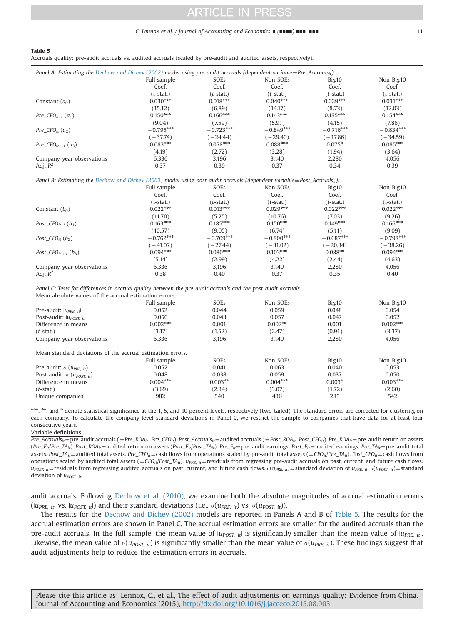#### C. Lennox et al. / Journal of Accounting and Economics ∎ (∎∎∎∎) ∎∎∎–∎∎∎ 11

#### Table 5

Accruals quality: pre-audit accruals vs. audited accruals (scaled by pre-audit and audited assets, respectively).

| Panel A: Estimating the Dechow and Dichev (2002) model using pre-audit accruals (dependent variable=Pre_Accrualsit).                |              |              |              |              |              |
|-------------------------------------------------------------------------------------------------------------------------------------|--------------|--------------|--------------|--------------|--------------|
|                                                                                                                                     | Full sample  | SOEs         | Non-SOEs     | Big10        | Non-Big10    |
|                                                                                                                                     | Coef.        | Coef.        | Coef.        | Coef.        | Coef.        |
|                                                                                                                                     | $(t$ -stat.) | $(t$ -stat.) | $(t$ -stat.) | $(t$ -stat.) | $(t$ -stat.) |
| Constant $(a_0)$                                                                                                                    | $0.030***$   | $0.018***$   | $0.040***$   | $0.029***$   | $0.031***$   |
|                                                                                                                                     | (15.12)      | (6.89)       | (14.17)      | (8.73)       | (12.03)      |
| Pre $CFO_{it-1}(a_1)$                                                                                                               | $0.150***$   | $0.166***$   | $0.143***$   | $0.135***$   | $0.154***$   |
|                                                                                                                                     | (9.04)       | (7.59)       | (5.91)       | (4.15)       | (7.86)       |
| $Pre_CFO_{it}(a_2)$                                                                                                                 | $-0.795***$  | $-0.723***$  | $-0.849***$  | $-0.716***$  | $-0.834***$  |
|                                                                                                                                     | $(-37.74)$   | $(-24.44)$   | $(-29.40)$   | $(-17.86)$   | $(-34.59)$   |
| $Pre\_CFO_{it+1}(a_3)$                                                                                                              | $0.083***$   | $0.078***$   | $0.088***$   | $0.075*$     | $0.085***$   |
|                                                                                                                                     | (4.19)       | (2.72)       | (3.28)       | (1.94)       | (3.64)       |
| Company-year observations                                                                                                           | 6,336        | 3,196        | 3,140        | 2,280        | 4,056        |
| Adj. $R^2$                                                                                                                          | 0.37         | 0.39         | 0.37         | 0.34         | 0.39         |
|                                                                                                                                     |              |              |              |              |              |
| Panel B: Estimating the Dechow and Dichev (2002) model using post-audit accruals (dependent variable=Post_Accruals <sub>it</sub> ). |              |              |              |              |              |
|                                                                                                                                     | Full sample  | SOEs         | Non-SOEs     | Big10        | Non-Big10    |
|                                                                                                                                     | Coef.        | Coef.        | Coef.        | Coef.        | Coef.        |
|                                                                                                                                     | $(t$ -stat.) | $(t$ -stat.) | $(t$ -stat.) | $(t$ -stat.) | $(t$ -stat.) |
| Constant $(b_0)$                                                                                                                    | $0.022***$   | $0.013***$   | $0.029***$   | $0.022***$   | $0.022***$   |
|                                                                                                                                     | (11.70)      | (5.25)       | (10.76)      | (7.03)       | (9.26)       |
| Post $CFO_{it-1}$ $(b_1)$                                                                                                           | $0.163***$   | $0.185***$   | $0.150***$   | $0.149***$   | $0.166***$   |
|                                                                                                                                     | (10.57)      | (9.05)       | (6.74)       | (5.11)       | (9.09)       |
| Post $CFO_{it}$ $(b_2)$                                                                                                             | $-0.762***$  | $-0.709***$  | $-0.800***$  | $-0.687***$  | $-0.798***$  |
|                                                                                                                                     | $(-41.07)$   | $(-27.44)$   | $(-31.02)$   | $(-20.34)$   | $(-38.26)$   |
| Post $CFO_{it+1}$ $(b_3)$                                                                                                           | $0.094***$   | $0.080***$   | $0.103***$   | $0.088**$    | $0.094***$   |
|                                                                                                                                     | (5.14)       | (2.99)       | (4.22)       | (2.44)       | (4.63)       |
| Company-year observations                                                                                                           | 6,336        | 3,196        | 3,140        | 2,280        | 4,056        |
| Adj. $R^2$                                                                                                                          | 0.38         | 0.40         | 0.37         | 0.35         | 0.40         |
|                                                                                                                                     |              |              |              |              |              |
| Panel C: Tests for differences in accrual quality between the pre-audit accruals and the post-audit accruals.                       |              |              |              |              |              |
| Mean absolute values of the accrual estimation errors.                                                                              |              |              |              |              |              |
|                                                                                                                                     | Full sample  | SOEs         | Non-SOEs     | Big10        | Non-Big10    |
| Pre-audit: lu <sub>PRE. it</sub> l                                                                                                  | 0.052        | 0.044        | 0.059        | 0.048        | 0.054        |
| Post-audit: $ u_{POST\_it} $                                                                                                        | 0.050        | 0.043        | 0.057        | 0.047        | 0.052        |

| PIC-ducil, $up_{RF_{it}}$                                  | <b>NUJU</b> | <u>v.v44</u> | บ.บวว      | <u>v.v40</u>      | <b>U.U.J4</b> |
|------------------------------------------------------------|-------------|--------------|------------|-------------------|---------------|
| Post-audit: $ u_{POST\_it} $                               | 0.050       | 0.043        | 0.057      | 0.047             | 0.052         |
| Difference in means                                        | $0.002***$  | 0.001        | $0.002***$ | 0.001             | $0.002***$    |
| $(t$ -stat.)                                               | (3.17)      | (1.52)       | (2.47)     | (0.91)            | (3.37)        |
| Company-year observations                                  | 6.336       | 3,196        | 3.140      | 2.280             | 4.056         |
| Mean standard deviations of the accrual estimation errors. |             |              |            |                   |               |
|                                                            | Full sample | <b>SOEs</b>  | Non-SOEs   | Big <sub>10</sub> | Non-Big10     |
| Pre-audit: $\sigma$ ( $u_{PRE, it}$ )                      | 0.052       | 0.041        | 0.063      | 0.040             | 0.053         |
| Post-audit: $\sigma$ ( $u_{POST\_it}$ )                    | 0.048       | 0.038        | 0.059      | 0.037             | 0.050         |
| Difference in means                                        | $0.004***$  | $0.003***$   | $0.004***$ | $0.003*$          | $0.003***$    |
| $(t$ -stat.)                                               | (3.69)      | (2.34)       | (3.07)     | (1.72)            | (2.60)        |
| Unique companies                                           | 982         | 540          | 436        | 285               | 542           |
|                                                            |             |              |            |                   |               |

\*\*\*, and \* denote statistical significance at the 1, 5, and 10 percent levels, respectively (two-tailed). The standard errors are corrected for clustering on each company. To calculate the company-level standard deviations in Panel C, we restrict the sample to companies that have data for at least four consecutive years.

Variable definitions:

Pre\_Accruals<sub>it</sub> = pre-audit accruals ( = Pre\_ROA<sub>it</sub>–Pre\_CFO<sub>it</sub>). Post\_Accruals<sub>it</sub> = audited accruals ( = Post\_ROA<sub>it</sub>–Post\_CFO<sub>it</sub>). Pre\_ROA<sub>it</sub> = pre-audit return on assets (Pre\_Eit|Pre\_TAit). Post\_ROA<sub>it</sub> = audited return on assets (Post\_Eit|Post\_TAit). Pre\_E<sub>it</sub> = pre-audit earnings. Post\_E<sub>it</sub> = audited earnings. Pre\_TA<sub>it</sub> = pre-audit total assets. Post\_TA<sub>it</sub> = audited total assets. Pre\_CFO<sub>it</sub> = cash flows from operations scaled by pre-audit total assets (=CFO<sub>it</sub>/Pre\_TA<sub>it</sub>). Post\_CFO<sub>it</sub> = cash flows from operations scaled by audited total assets (=CFO<sub>it</sub>/Post\_TA<sub>it</sub>). u<sub>PRE, it</sub>=residuals from regressing pre-audit accruals on past, current, and future cash flows.  $u_{POST, it}$  residuals from regressing audited accruals on past, current, and future cash flows.  $\sigma(u_{PRE, it})$  = standard deviation of  $u_{PRE, it}$ ,  $\sigma(u_{POST, it})$  = standard deviation of  $u_{POST, it}$ .

audit accruals. Following [Dechow et al. \(2010\)](#page-16-0), we examine both the absolute magnitudes of accrual estimation errors ( $|u_{PRE, it}|$  vs.  $|u_{POST, it}|$ ) and their standard deviations (i.e.,  $\sigma(u_{PRE, it})$  vs.  $\sigma(u_{POST, it})$ ).

The results for the [Dechow and Dichev \(2002\)](#page-16-0) models are reported in Panels A and B of Table 5. The results for the accrual estimation errors are shown in Panel C. The accrual estimation errors are smaller for the audited accruals than the pre-audit accruals. In the full sample, the mean value of  $|u_{POST, it}|$  is significantly smaller than the mean value of  $|u_{PRE, it}|$ . Likewise, the mean value of  $\sigma(u_{POST, it})$  is significantly smaller than the mean value of  $\sigma(u_{PRE, it})$ . These findings suggest that audit adjustments help to reduce the estimation errors in accruals.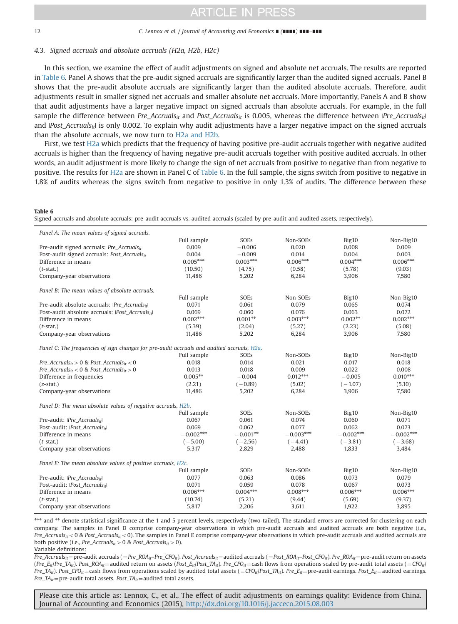#### 12 C. Lennox et al. / Journal of Accounting and Economics ∎ (∎∎∎∎) ∎∎∎–∎∎∎

## 4.3. Signed accruals and absolute accruals (H2a, H2b, H2c)

In this section, we examine the effect of audit adjustments on signed and absolute net accruals. The results are reported in Table 6. Panel A shows that the pre-audit signed accruals are significantly larger than the audited signed accruals. Panel B shows that the pre-audit absolute accruals are significantly larger than the audited absolute accruals. Therefore, audit adjustments result in smaller signed net accruals and smaller absolute net accruals. More importantly, Panels A and B show that audit adjustments have a larger negative impact on signed accruals than absolute accruals. For example, in the full sample the difference between Pre\_Accruals<sub>it</sub> and Post\_Accruals<sub>it</sub> is 0.005, whereas the difference between *|Pre\_Accruals<sub>it</sub>*| and  $|Post\_Accruals_{it}|$  is only 0.002. To explain why audit adjustments have a larger negative impact on the signed accruals than the absolute accruals, we now turn to [H2a and H2b](#page-4-0).

First, we test [H2a](#page-4-0) which predicts that the frequency of having positive pre-audit accruals together with negative audited accruals is higher than the frequency of having negative pre-audit accruals together with positive audited accruals. In other words, an audit adjustment is more likely to change the sign of net accruals from positive to negative than from negative to positive. The results for [H2a](#page-4-0) are shown in Panel C of Table 6. In the full sample, the signs switch from positive to negative in 1.8% of audits whereas the signs switch from negative to positive in only 1.3% of audits. The difference between these

#### Table 6

Signed accruals and absolute accruals: pre-audit accruals vs. audited accruals (scaled by pre-audit and audited assets, respectively).

| Panel A: The mean values of signed accruals.                                               |             |            |             |             |             |
|--------------------------------------------------------------------------------------------|-------------|------------|-------------|-------------|-------------|
|                                                                                            | Full sample | SOEs       | Non-SOEs    | Big10       | Non-Big10   |
| Pre-audit signed accruals: Pre_Accruals <sub>it</sub>                                      | 0.009       | $-0.006$   | 0.020       | 0.008       | 0.009       |
| Post-audit signed accruals: Post_Accruals <sub>it</sub>                                    | 0.004       | $-0.009$   | 0.014       | 0.004       | 0.003       |
| Difference in means                                                                        | $0.005***$  | $0.003***$ | $0.006***$  | $0.004***$  | $0.006***$  |
| $(t$ -stat.)                                                                               | (10.50)     | (4.75)     | (9.58)      | (5.78)      | (9.03)      |
| Company-year observations                                                                  | 11,486      | 5,202      | 6,284       | 3,906       | 7,580       |
| Panel B: The mean values of absolute accruals.                                             |             |            |             |             |             |
|                                                                                            | Full sample | SOEs       | Non-SOEs    | Big10       | Non-Big10   |
| Pre-audit absolute accruals: IPre Accruals <sub>it</sub> l                                 | 0.071       | 0.061      | 0.079       | 0.065       | 0.074       |
| Post-audit absolute accruals: IPost Accruals <sub>it</sub>                                 | 0.069       | 0.060      | 0.076       | 0.063       | 0.072       |
| Difference in means                                                                        | $0.002***$  | $0.001**$  | $0.003***$  | $0.002**$   | $0.002***$  |
| $(t$ -stat.)                                                                               | (5.39)      | (2.04)     | (5.27)      | (2.23)      | (5.08)      |
| Company-year observations                                                                  | 11,486      | 5,202      | 6,284       | 3,906       | 7.580       |
| Panel C: The frequencies of sign changes for pre-audit accruals and audited accruals, H2a. |             |            |             |             |             |
|                                                                                            | Full sample | SOEs       | Non-SOEs    | Big10       | Non-Big10   |
| Pre_Accruals <sub>it</sub> > 0 & Post_Accruals <sub>it</sub> < 0                           | 0.018       | 0.014      | 0.021       | 0.017       | 0.018       |
| Pre_Accruals <sub>it</sub> < 0 & Post_Accruals <sub>it</sub> > 0                           | 0.013       | 0.018      | 0.009       | 0.022       | 0.008       |
| Difference in frequencies                                                                  | $0.005***$  | $-0.004$   | $0.012***$  | $-0.005$    | $0.010***$  |
| $(z-stat.)$                                                                                | (2.21)      | $(-0.89)$  | (5.02)      | $(-1.07)$   | (5.10)      |
| Company-year observations                                                                  | 11,486      | 5,202      | 6,284       | 3,906       | 7,580       |
| Panel D: The mean absolute values of negative accruals, H2b.                               |             |            |             |             |             |
|                                                                                            | Full sample | SOEs       | Non-SOEs    | Big10       | Non-Big10   |
| Pre-audit: IPre Accruals <sub>it</sub> l                                                   | 0.067       | 0.061      | 0.074       | 0.060       | 0.071       |
| Post-audit: IPost Accrualsit                                                               | 0.069       | 0.062      | 0.077       | 0.062       | 0.073       |
| Difference in means                                                                        | $-0.002***$ | $-0.001**$ | $-0.003***$ | $-0.002***$ | $-0.002***$ |
| $(t$ -stat.)                                                                               | $(-5.00)$   | $(-2.56)$  | $(-4.41)$   | $(-3.81)$   | $(-3.68)$   |
| Company-year observations                                                                  | 5,317       | 2,829      | 2,488       | 1,833       | 3,484       |
| Panel E: The mean absolute values of positive accruals, H2c,                               |             |            |             |             |             |
|                                                                                            | Full sample | SOEs       | Non-SOEs    | Big10       | Non-Big10   |
| Pre-audit: IPre_Accruals <sub>it</sub> l                                                   | 0.077       | 0.063      | 0.086       | 0.073       | 0.079       |
| Post-audit: IPost Accrualsit                                                               | 0.071       | 0.059      | 0.078       | 0.067       | 0.073       |
| Difference in means                                                                        | $0.006***$  | $0.004***$ | $0.008***$  | $0.006***$  | $0.006***$  |
| $(t$ -stat.)                                                                               | (10.74)     | (5.21)     | (9.44)      | (5.69)      | (9.37)      |
| Company-year observations                                                                  | 5,817       | 2,206      | 3,611       | 1,922       | 3,895       |

\*\*\* and \*\* denote statistical significance at the 1 and 5 percent levels, respectively (two-tailed). The standard errors are corrected for clustering on each company. The samples in Panel D comprise company-year observations in which pre-audit accruals and audited accruals are both negative (i.e.,  $Pre\_Accvals_{it} < 0$  & Post\_Accruals<sub>it</sub> < 0). The samples in Panel E comprise company-year observations in which pre-audit accruals and audited accruals are both positive (i.e., Pre\_Accruals<sub>it</sub> > 0 & Post\_Accruals<sub>it</sub> > 0).

Variable definitions:

 $Pre\_Accruals_{it}$  = pre-audit accruals ( = Pre\_ROA<sub>it</sub>–Pre\_CFO<sub>it</sub>). Post\_Accruals<sub>it</sub> = audited accruals ( = Post\_ROA<sub>it</sub>–Post\_CFO<sub>it</sub>). Pre\_ROA<sub>it</sub> = pre-audit return on assets (Pre\_E<sub>it</sub>/Pre\_TA<sub>it</sub>). Post\_ROA<sub>it</sub> = audited return on assets (Post\_E<sub>it</sub>/Post\_TA<sub>it</sub>). Pre\_CFO<sub>it</sub> = cash flows from operations scaled by pre-audit total assets (=CFO<sub>it</sub>/ Pre\_TA<sub>it</sub>). Post\_CFO<sub>it</sub> = cash flows from operations scaled by audited total assets (=CFO<sub>it</sub>/Post\_TA<sub>it</sub>). Pre\_ $E_{it}$  = pre-audit earnings. Post\_ $E_{it}$  = audited earnings.  $Pre\_TA_{it}$ = pre-audit total assets.  $Post\_TA_{it}$  = audited total assets.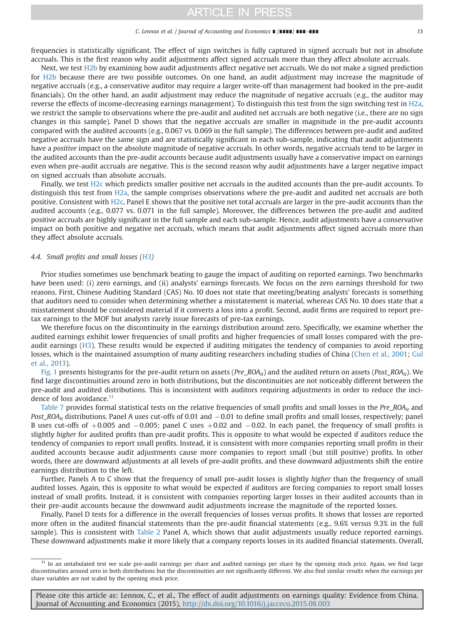#### C. Lennox et al. / Journal of Accounting and Economics ∎ (∎∎∎∎) ∎∎∎–∎∎∎ 13

frequencies is statistically significant. The effect of sign switches is fully captured in signed accruals but not in absolute accruals. This is the first reason why audit adjustments affect signed accruals more than they affect absolute accruals.

Next, we test [H2b](#page-4-0) by examining how audit adjustments affect negative net accruals. We do not make a signed prediction for [H2b](#page-4-0) because there are two possible outcomes. On one hand, an audit adjustment may increase the magnitude of negative accruals (e.g., a conservative auditor may require a larger write-off than management had booked in the pre-audit financials). On the other hand, an audit adjustment may reduce the magnitude of negative accruals (e.g., the auditor may reverse the effects of income-decreasing earnings management). To distinguish this test from the sign switching test in [H2a](#page-4-0), we restrict the sample to observations where the pre-audit and audited net accruals are both negative (i.e., there are no sign changes in this sample). Panel D shows that the negative accruals are smaller in magnitude in the pre-audit accounts compared with the audited accounts (e.g., 0.067 vs. 0.069 in the full sample). The differences between pre-audit and audited negative accruals have the same sign and are statistically significant in each sub-sample, indicating that audit adjustments have a positive impact on the absolute magnitude of negative accruals. In other words, negative accruals tend to be larger in the audited accounts than the pre-audit accounts because audit adjustments usually have a conservative impact on earnings even when pre-audit accruals are negative. This is the second reason why audit adjustments have a larger negative impact on signed accruals than absolute accruals.

Finally, we test [H2c](#page-4-0) which predicts smaller positive net accruals in the audited accounts than the pre-audit accounts. To distinguish this test from [H2a](#page-4-0), the sample comprises observations where the pre-audit and audited net accruals are both positive. Consistent with [H2c,](#page-4-0) Panel E shows that the positive net total accruals are larger in the pre-audit accounts than the audited accounts (e.g., 0.077 vs. 0.071 in the full sample). Moreover, the differences between the pre-audit and audited positive accruals are highly significant in the full sample and each sub-sample. Hence, audit adjustments have a conservative impact on both positive and negative net accruals, which means that audit adjustments affect signed accruals more than they affect absolute accruals.

## 4.4. Small profits and small losses [\(H3\)](#page-5-0)

Prior studies sometimes use benchmark beating to gauge the impact of auditing on reported earnings. Two benchmarks have been used: (i) zero earnings, and (ii) analysts' earnings forecasts. We focus on the zero earnings threshold for two reasons. First, Chinese Auditing Standard (CAS) No. 10 does not state that meeting/beating analysts' forecasts is something that auditors need to consider when determining whether a misstatement is material, whereas CAS No. 10 does state that a misstatement should be considered material if it converts a loss into a profit. Second, audit firms are required to report pretax earnings to the MOF but analysts rarely issue forecasts of pre-tax earnings.

We therefore focus on the discontinuity in the earnings distribution around zero. Specifically, we examine whether the audited earnings exhibit lower frequencies of small profits and higher frequencies of small losses compared with the preaudit earnings ([H3\)](#page-5-0). These results would be expected if auditing mitigates the tendency of companies to avoid reporting losses, which is the maintained assumption of many auditing researchers including studies of China [\(Chen et al., 2001;](#page-16-0) [Gul](#page-17-0) [et al., 2013](#page-17-0)).

[Fig. 1](#page-13-0) presents histograms for the pre-audit return on assets (Pre\_ROA<sub>it</sub>) and the audited return on assets (Post\_ROA<sub>it</sub>). We find large discontinuities around zero in both distributions, but the discontinuities are not noticeably different between the pre-audit and audited distributions. This is inconsistent with auditors requiring adjustments in order to reduce the incidence of loss avoidance.<sup>11</sup>

[Table 7](#page-14-0) provides formal statistical tests on the relative frequencies of small profits and small losses in the Pre $_1$ ROA<sub>it</sub> and Post\_ROA<sub>it</sub> distributions. Panel A uses cut-offs of 0.01 and  $-0.01$  to define small profits and small losses, respectively; panel B uses cut-offs of  $+0.005$  and  $-0.005$ ; panel C uses  $+0.02$  and  $-0.02$ . In each panel, the frequency of small profits is slightly higher for audited profits than pre-audit profits. This is opposite to what would be expected if auditors reduce the tendency of companies to report small profits. Instead, it is consistent with more companies reporting small profits in their audited accounts because audit adjustments cause more companies to report small (but still positive) profits. In other words, there are downward adjustments at all levels of pre-audit profits, and these downward adjustments shift the entire earnings distribution to the left.

Further, Panels A to C show that the frequency of small pre-audit losses is slightly higher than the frequency of small audited losses. Again, this is opposite to what would be expected if auditors are forcing companies to report small losses instead of small profits. Instead, it is consistent with companies reporting larger losses in their audited accounts than in their pre-audit accounts because the downward audit adjustments increase the magnitude of the reported losses.

Finally, Panel D tests for a difference in the overall frequencies of losses versus profits. It shows that losses are reported more often in the audited financial statements than the pre-audit financial statements (e.g., 9.6% versus 9.3% in the full sample). This is consistent with [Table 2](#page-7-0) Panel A, which shows that audit adjustments usually reduce reported earnings. These downward adjustments make it more likely that a company reports losses in its audited financial statements. Overall,

<sup>11</sup> In an untabulated test we scale pre-audit earnings per share and audited earnings per share by the opening stock price. Again, we find large discontinuities around zero in both distributions but the discontinuities are not significantly different. We also find similar results when the earnings per share variables are not scaled by the opening stock price.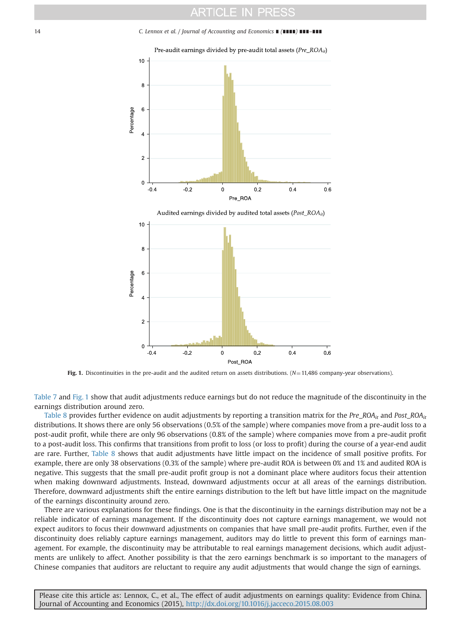<span id="page-13-0"></span>14 C. Lennox et al. / Journal of Accounting and Economics ∎ (∎∎∎∎) ∎∎∎–∎∎∎



Fig. 1. Discontinuities in the pre-audit and the audited return on assets distributions.  $(N=11,486$  company-year observations).

[Table 7](#page-14-0) and Fig. 1 show that audit adjustments reduce earnings but do not reduce the magnitude of the discontinuity in the earnings distribution around zero.

[Table 8](#page-15-0) provides further evidence on audit adjustments by reporting a transition matrix for the Pre\_ROA<sub>it</sub> and Post\_ROA<sub>it</sub> distributions. It shows there are only 56 observations (0.5% of the sample) where companies move from a pre-audit loss to a post-audit profit, while there are only 96 observations (0.8% of the sample) where companies move from a pre-audit profit to a post-audit loss. This confirms that transitions from profit to loss (or loss to profit) during the course of a year-end audit are rare. Further, [Table 8](#page-15-0) shows that audit adjustments have little impact on the incidence of small positive profits. For example, there are only 38 observations (0.3% of the sample) where pre-audit ROA is between 0% and 1% and audited ROA is negative. This suggests that the small pre-audit profit group is not a dominant place where auditors focus their attention when making downward adjustments. Instead, downward adjustments occur at all areas of the earnings distribution. Therefore, downward adjustments shift the entire earnings distribution to the left but have little impact on the magnitude of the earnings discontinuity around zero.

There are various explanations for these findings. One is that the discontinuity in the earnings distribution may not be a reliable indicator of earnings management. If the discontinuity does not capture earnings management, we would not expect auditors to focus their downward adjustments on companies that have small pre-audit profits. Further, even if the discontinuity does reliably capture earnings management, auditors may do little to prevent this form of earnings management. For example, the discontinuity may be attributable to real earnings management decisions, which audit adjustments are unlikely to affect. Another possibility is that the zero earnings benchmark is so important to the managers of Chinese companies that auditors are reluctant to require any audit adjustments that would change the sign of earnings.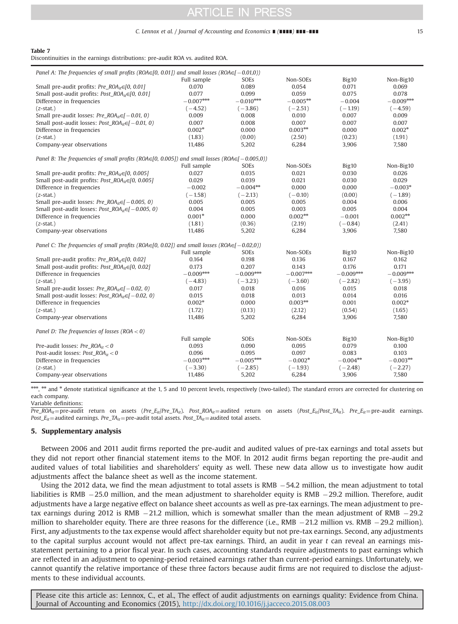#### C. Lennox et al. / Journal of Accounting and Economics ∎ (∎∎∎∎) ∎∎∎–∎∎∎ 15

<span id="page-14-0"></span>

|--|--|--|--|

Discontinuities in the earnings distributions: pre-audit ROA vs. audited ROA.

| Panel A: The frequencies of small profits (ROA $\in$ [0, 0.01]) and small losses (ROA $\in$ [-0.01,0])   |                                    |                |             |             |                |  |
|----------------------------------------------------------------------------------------------------------|------------------------------------|----------------|-------------|-------------|----------------|--|
|                                                                                                          | Full sample                        | SOEs           | Non-SOEs    | Big10       | Non-Big10      |  |
| Small pre-audit profits: $Pre\_ROA_{ir} \in [0, 0.01]$                                                   | 0.070                              | 0.089          | 0.054       | 0.071       | 0.069          |  |
| Small post-audit profits: Post_ROA <sub>it</sub> $\in$ [0, 0.01]                                         | 0.077                              | 0.099          | 0.059       | 0.075       | 0.078          |  |
| Difference in frequencies                                                                                | $-0.007^{\mbox{\tiny{kpt}}\times}$ | $-0.010***$    | $-0.005**$  | $-0.004$    | $-0.009***$    |  |
| $(z-stat.)$                                                                                              | $(-4.52)$                          | $(-3.86)$      | $(-2.51)$   | $(-1.19)$   | $(-4.59)$      |  |
| Small pre-audit losses: Pre_ROA <sub>it</sub> $\in$ [-0.01, 0)                                           | 0.009                              | 0.008          | 0.010       | 0.007       | 0.009          |  |
| Small post-audit losses: Post_ROA <sub>it</sub> $\in$ [-0.01, 0)                                         | 0.007                              | 0.008          | 0.007       | 0.007       | 0.007          |  |
| Difference in frequencies                                                                                | $0.002*$                           | 0.000          | $0.003**$   | 0.000       | $0.002*$       |  |
| $(z-stat.)$                                                                                              | (1.83)                             | (0.00)         | (2.50)      | (0.23)      | (1.91)         |  |
| Company-year observations                                                                                | 11,486                             | 5,202<br>6,284 |             |             | 3,906<br>7,580 |  |
| Panel B: The frequencies of small profits (ROA $\in$ [0, 0.005]) and small losses (ROA $\in$ [-0.005,0)) |                                    |                |             |             |                |  |
|                                                                                                          | Full sample                        | SOEs           | Non-SOEs    | Big10       | Non-Big10      |  |
| Small pre-audit profits: Pre_ROA <sub>it</sub> $\in$ [0, 0.005]                                          | 0.027                              | 0.035          | 0.021       | 0.030       | 0.026          |  |
| Small post-audit profits: Post_ROA <sub>it</sub> $\in$ [0, 0.005]                                        | 0.029                              | 0.039          | 0.021       | 0.030       | 0.029          |  |
| Difference in frequencies                                                                                | $-0.002$                           | $-0.004**$     | 0.000       | 0.000       | $-0.003*$      |  |
| $(z$ -stat.)                                                                                             | $(-1.58)$                          | $(-2.13)$      | $(-0.10)$   | (0.00)      | $(-1.89)$      |  |
| Small pre-audit losses: $Pre\_ROA_{it} \in ]-0.005, 0)$                                                  | 0.005                              | 0.005          | 0.005       | 0.004       | 0.006          |  |
| Small post-audit losses: Post_ROA <sub>it</sub> $\in$ [-0.005, 0)                                        | 0.004                              | 0.005          | 0.003       | 0.005       | 0.004          |  |
| Difference in frequencies                                                                                | $0.001*$                           | 0.000          | $0.002**$   | $-0.001$    | $0.002**$      |  |
| $(z$ -stat.)                                                                                             | (1.81)                             | (0.36)         | (2.19)      | $(-0.84)$   | (2.41)         |  |
| Company-year observations                                                                                | 11,486                             | 5,202          | 6,284       | 3,906       | 7,580          |  |
| Panel C: The frequencies of small profits (ROA $\in$ [0, 0.02]) and small losses (ROA $\in$ $-$ 0.02,0)) |                                    |                |             |             |                |  |
|                                                                                                          | Full sample                        | SOEs           | Non-SOEs    | Big10       | Non-Big10      |  |
| Small pre-audit profits: Pre $ROA_{it} \in [0, 0.02]$                                                    | 0.164                              | 0.198          | 0.136       | 0.167       | 0.162          |  |
| Small post-audit profits: Post_ROA <sub>it</sub> $\in$ [0, 0.02]                                         | 0.173                              | 0.207          | 0.143       | 0.176       | 0.171          |  |
| Difference in frequencies                                                                                | $-0.009***$                        | $-0.009***$    | $-0.007***$ | $-0.009***$ | $-0.009***$    |  |
| $(z-stat.)$                                                                                              | $(-4.83)$                          | $(-3.23)$      | $(-3.60)$   | $(-2.82)$   | $(-3.95)$      |  |
| Small pre-audit losses: Pre $ROA_{ir} \in [-0.02, 0)$                                                    | 0.017                              | 0.018          | 0.016       | 0.015       | 0.018          |  |
| Small post-audit losses: Post_ROA <sub>it</sub> $\in$ [-0.02, 0)                                         | 0.015                              | 0.018          | 0.013       | 0.014       | 0.016          |  |
| Difference in frequencies                                                                                | $0.002*$                           | 0.000          | $0.003**$   | 0.001       | $0.002*$       |  |
| $(z-stat.)$                                                                                              | (1.72)                             | (0.13)         | (2.12)      | (0.54)      | (1.65)         |  |
| Company-year observations                                                                                | 11,486                             | 5,202          | 6,284       | 3,906       | 7,580          |  |
| Panel D: The frequencies of losses ( $ROA < 0$ )                                                         |                                    |                |             |             |                |  |
|                                                                                                          | Full sample                        | SOEs           | Non-SOEs    | Big10       | Non-Big10      |  |
| Pre-audit losses: Pre_ROA <sub>it</sub> < 0                                                              | 0.093                              | 0.090          | 0.095       | 0.079       | 0.100          |  |
| Post-audit losses: Post_ROA <sub>it</sub> < 0                                                            | 0.096                              | 0.095          | 0.097       | 0.083       | 0.103          |  |
| Difference in frequencies                                                                                | $-0.003***$                        | $-0.005***$    | $-0.002*$   | $-0.004***$ | $-0.003***$    |  |
| $(z-stat.)$                                                                                              | $(-3.30)$                          | $(-2.85)$      | $(-1.93)$   | $(-2.48)$   | $(-2.27)$      |  |
| Company-year observations                                                                                | 11,486                             | 5,202          | 6,284       | 3,906       | 7,580          |  |

\*\*\*, \*\* and \* denote statistical significance at the 1, 5 and 10 percent levels, respectively (two-tailed). The standard errors are corrected for clustering on each company.

Variable definitions:

 $Pre\_ROA_{it}$ =pre-audit return on assets (Pre\_E<sub>it</sub>/Pre\_TA<sub>it</sub>). Post\_ROA<sub>it</sub> = audited return on assets (Post\_E<sub>it</sub>/Post\_TA<sub>it</sub>). Pre\_E<sub>it</sub> =pre-audit earnings. Post\_E<sub>it</sub> = audited earnings. Pre\_TA<sub>it</sub> = pre-audit total assets. Post\_TA<sub>it</sub> = audited total assets.

#### 5. Supplementary analysis

Between 2006 and 2011 audit firms reported the pre-audit and audited values of pre-tax earnings and total assets but they did not report other financial statement items to the MOF. In 2012 audit firms began reporting the pre-audit and audited values of total liabilities and shareholders' equity as well. These new data allow us to investigate how audit adjustments affect the balance sheet as well as the income statement.

Using the 2012 data, we find the mean adjustment to total assets is RMB  $-54.2$  million, the mean adjustment to total liabilities is RMB  $-25.0$  million, and the mean adjustment to shareholder equity is RMB  $-29.2$  million. Therefore, audit adjustments have a large negative effect on balance sheet accounts as well as pre-tax earnings. The mean adjustment to pretax earnings during 2012 is RMB  $-21.2$  million, which is somewhat smaller than the mean adjustment of RMB  $-29.2$ million to shareholder equity. There are three reasons for the difference (i.e., RMB  $-21.2$  million vs. RMB  $-29.2$  million). First, any adjustments to the tax expense would affect shareholder equity but not pre-tax earnings. Second, any adjustments to the capital surplus account would not affect pre-tax earnings. Third, an audit in year  $t$  can reveal an earnings misstatement pertaining to a prior fiscal year. In such cases, accounting standards require adjustments to past earnings which are reflected in an adjustment to opening-period retained earnings rather than current-period earnings. Unfortunately, we cannot quantify the relative importance of these three factors because audit firms are not required to disclose the adjustments to these individual accounts.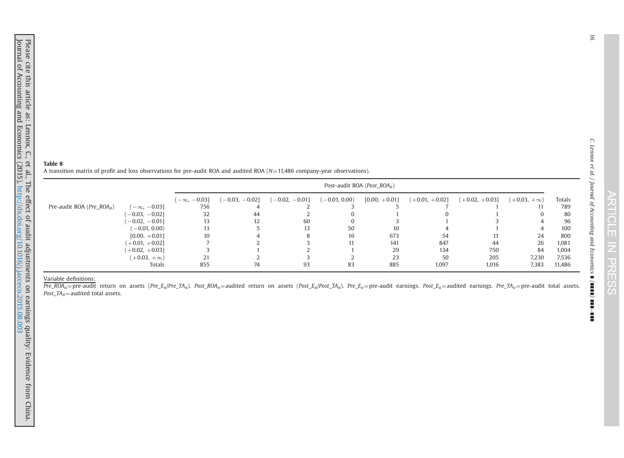C. Lennox et al. / Journal of Accounting and Economics

∎ (∎∎∎∎) ∎∎∎–

<span id="page-15-0"></span>A transition matrix of profit and loss observations for pre-audit ROA and audited ROA  $(N=11,486$  company-year observations).

|                                                                      |                    | Post-audit ROA ( <i>Post ROA</i> <sub>it</sub> ) |                  |                 |                 |                  |                  |                    |        |  |  |
|----------------------------------------------------------------------|--------------------|--------------------------------------------------|------------------|-----------------|-----------------|------------------|------------------|--------------------|--------|--|--|
|                                                                      | $(-\infty, -0.03]$ | $(-0.03, -0.02]$                                 | $(-0.02, -0.01]$ | $(-0.01, 0.00)$ | $[0.00, +0.01]$ | $(+0.01, +0.02]$ | $(+0.02, +0.03]$ | $(+0.03, +\infty)$ | Totals |  |  |
| Pre-audit ROA ( <i>Pre ROA</i> <sub>it</sub> )<br>$(-\infty, -0.03]$ | 756                | 4                                                |                  |                 |                 |                  |                  |                    | 789    |  |  |
| $-0.03, -0.02$                                                       | 32                 | 44                                               |                  |                 |                 | $\left($         |                  | $\theta$           | 80     |  |  |
| $-0.02, -0.01$                                                       | 13                 | 12                                               | 60               |                 |                 |                  |                  |                    | 96     |  |  |
| $(-0.01, 0.00)$                                                      | 13                 |                                                  | 13               | 50              | 10              |                  |                  |                    | 100    |  |  |
| $[0.00, +0.01]$                                                      | 10                 |                                                  |                  | 16              | 673             | 54               | 11               | 24                 | 800    |  |  |
| $(+0.01, +0.02)$                                                     |                    |                                                  |                  | 11              | 141             | 847              | 44               | 26                 | 1,081  |  |  |
| $(+0.02, +0.03)$                                                     |                    |                                                  |                  |                 | 29              | 134              | 750              | 84                 | 1,004  |  |  |
| $(+0.03, +\infty)$                                                   | 21                 |                                                  |                  |                 | 23              | 50               | 205              | 7.230              | 7,536  |  |  |
| Totals                                                               | 855                | 74                                               | 93               | 83              | 885             | 1,097            | 1,016            | 7,383              | 11,486 |  |  |

Variable definitions:<br>Pre\_ROA<sub>it</sub>=pre-audit return on assets (Pre\_E<sub>it</sub>/Pre\_TA<sub>it</sub>). Post\_ROA<sub>it</sub>=audited return on assets (Post\_E<sub>it</sub>/Post\_TA<sub>it</sub>). Pre\_E<sub>it</sub>=pre-audit earnings. Post\_E<sub>it</sub>=audited earnings. Pre\_TA<sub>it</sub>=pre Post\_ $TA_{it}$ = audited total assets.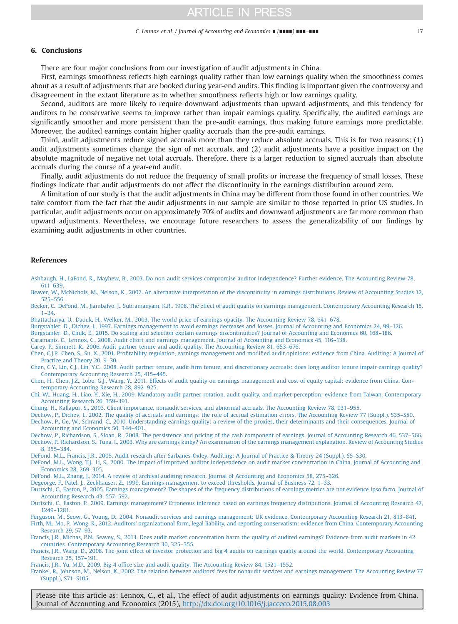## <span id="page-16-0"></span>6. Conclusions

There are four major conclusions from our investigation of audit adjustments in China.

First, earnings smoothness reflects high earnings quality rather than low earnings quality when the smoothness comes about as a result of adjustments that are booked during year-end audits. This finding is important given the controversy and disagreement in the extant literature as to whether smoothness reflects high or low earnings quality.

Second, auditors are more likely to require downward adjustments than upward adjustments, and this tendency for auditors to be conservative seems to improve rather than impair earnings quality. Specifically, the audited earnings are significantly smoother and more persistent than the pre-audit earnings, thus making future earnings more predictable. Moreover, the audited earnings contain higher quality accruals than the pre-audit earnings.

Third, audit adjustments reduce signed accruals more than they reduce absolute accruals. This is for two reasons: (1) audit adjustments sometimes change the sign of net accruals, and (2) audit adjustments have a positive impact on the absolute magnitude of negative net total accruals. Therefore, there is a larger reduction to signed accruals than absolute accruals during the course of a year-end audit.

Finally, audit adjustments do not reduce the frequency of small profits or increase the frequency of small losses. These findings indicate that audit adjustments do not affect the discontinuity in the earnings distribution around zero.

A limitation of our study is that the audit adjustments in China may be different from those found in other countries. We take comfort from the fact that the audit adjustments in our sample are similar to those reported in prior US studies. In particular, audit adjustments occur on approximately 70% of audits and downward adjustments are far more common than upward adjustments. Nevertheless, we encourage future researchers to assess the generalizability of our findings by examining audit adjustments in other countries.

## References

[Ashbaugh, H., LaFond, R., Mayhew, B., 2003. Do non-audit services compromise auditor independence? Further evidence. The Accounting Review 78,](http://refhub.elsevier.com/S0165-4101(15)00060-9/sbref1) [611](http://refhub.elsevier.com/S0165-4101(15)00060-9/sbref1)–[639.](http://refhub.elsevier.com/S0165-4101(15)00060-9/sbref1)

[Beaver, W., McNichols, M., Nelson, K., 2007. An alternative interpretation of the discontinuity in earnings distributions. Review of Accounting Studies 12,](http://refhub.elsevier.com/S0165-4101(15)00060-9/sbref2) [525](http://refhub.elsevier.com/S0165-4101(15)00060-9/sbref2)–[556.](http://refhub.elsevier.com/S0165-4101(15)00060-9/sbref2)

[Becker, C., DeFond, M., Jiambalvo, J., Subramanyam, K.R., 1998. The effect of audit quality on earnings management. Contemporary Accounting Research 15,](http://refhub.elsevier.com/S0165-4101(15)00060-9/sbref3) [1](http://refhub.elsevier.com/S0165-4101(15)00060-9/sbref3)–[24.](http://refhub.elsevier.com/S0165-4101(15)00060-9/sbref3)

[Bhattacharya, U., Daouk, H., Welker, M., 2003. The world price of earnings opacity. The Accounting Review 78, 641](http://refhub.elsevier.com/S0165-4101(15)00060-9/sbref4)–678.

[Burgstahler, D., Dichev, I., 1997. Earnings management to avoid earnings decreases and losses. Journal of Accounting and Economics 24, 99](http://refhub.elsevier.com/S0165-4101(15)00060-9/sbref5)–126.

[Burgstahler, D., Chuk, E., 2015. Do scaling and selection explain earnings discontinuities? Journal of Accounting and Economics 60, 168](http://refhub.elsevier.com/S0165-4101(15)00060-9/sbref6)–186.

[Caramanis, C., Lennox, C., 2008. Audit effort and earnings management. Journal of Accounting and Economics 45, 116](http://refhub.elsevier.com/S0165-4101(15)00060-9/sbref7)–138.

[Carey, P., Simnett, R., 2006. Audit partner tenure and audit quality. The Accounting Review 81, 653](http://refhub.elsevier.com/S0165-4101(15)00060-9/sbref8)–676.

Chen, C.J.P., Chen, S., Su, X., 2001. Profitability regulation, earnings management and modifi[ed audit opinions: evidence from China. Auditing: A Journal of](http://refhub.elsevier.com/S0165-4101(15)00060-9/sbref9) [Practice and Theory 20, 9](http://refhub.elsevier.com/S0165-4101(15)00060-9/sbref9)–30.

Chen, C.Y., Lin, C.J., Lin, Y.C., 2008. Audit partner tenure, audit fi[rm tenure, and discretionary accruals: does long auditor tenure impair earnings quality?](http://refhub.elsevier.com/S0165-4101(15)00060-9/sbref10) [Contemporary Accounting Research 25, 415](http://refhub.elsevier.com/S0165-4101(15)00060-9/sbref10)–445.

[Chen, H., Chen, J.Z., Lobo, G.J., Wang, Y., 2011. Effects of audit quality on earnings management and cost of equity capital: evidence from China. Con](http://refhub.elsevier.com/S0165-4101(15)00060-9/sbref11)[temporary Accounting Research 28, 892](http://refhub.elsevier.com/S0165-4101(15)00060-9/sbref11)–925.

[Chi, W., Huang, H., Liao, Y., Xie, H., 2009. Mandatory audit partner rotation, audit quality, and market perception: evidence from Taiwan. Contemporary](http://refhub.elsevier.com/S0165-4101(15)00060-9/sbref12) [Accounting Research 26, 359](http://refhub.elsevier.com/S0165-4101(15)00060-9/sbref12)–391.

[Chung, H., Kallapur, S., 2003. Client importance, nonaudit services, and abnormal accruals. The Accounting Review 78, 931](http://refhub.elsevier.com/S0165-4101(15)00060-9/sbref13)–955.

[Dechow, P., Dichev, I., 2002. The quality of accruals and earnings: the role of accrual estimation errors. The Accounting Review 77 \(Suppl.\), S35](http://refhub.elsevier.com/S0165-4101(15)00060-9/sbref14)–S59. [Dechow, P., Ge, W., Schrand, C., 2010. Understanding earnings quality: a review of the proxies, their determinants and their consequences. Journal of](http://refhub.elsevier.com/S0165-4101(15)00060-9/sbref15)

[Accounting and Economics 50, 344](http://refhub.elsevier.com/S0165-4101(15)00060-9/sbref15)–401.

[Dechow, P., Richardson, S., Sloan, R., 2008. The persistence and pricing of the cash component of earnings. Journal of Accounting Research 46, 537](http://refhub.elsevier.com/S0165-4101(15)00060-9/sbref16)–566. [Dechow, P., Richardson, S., Tuna, I., 2003. Why are earnings kinky? An examination of the earnings management explanation. Review of Accounting Studies](http://refhub.elsevier.com/S0165-4101(15)00060-9/sbref17) [8, 355](http://refhub.elsevier.com/S0165-4101(15)00060-9/sbref17)–384.

[DeFond, M.L., Francis, J.R., 2005. Audit research after Sarbanes-Oxley. Auditing: A Journal of Practice](http://refhub.elsevier.com/S0165-4101(15)00060-9/sbref18) & [Theory 24 \(Suppl.\), S5](http://refhub.elsevier.com/S0165-4101(15)00060-9/sbref18)–S30.

[DeFond, M.L., Wong, T.J., Li, S., 2000. The impact of improved auditor independence on audit market concentration in China. Journal of Accounting and](http://refhub.elsevier.com/S0165-4101(15)00060-9/sbref19) [Economics 28, 269](http://refhub.elsevier.com/S0165-4101(15)00060-9/sbref19)–305.

[DeFond, M.L., Zhang, J., 2014. A review of archival auditing research. Journal of Accounting and Economics 58, 275](http://refhub.elsevier.com/S0165-4101(15)00060-9/sbref20)–326.

[Degeorge, F., Patel, J., Zeckhauser, Z., 1999. Earnings management to exceed thresholds. Journal of Business 72, 1](http://refhub.elsevier.com/S0165-4101(15)00060-9/sbref21)–33.

[Durtschi, C., Easton, P., 2005. Earnings management? The shapes of the frequency distributions of earnings metrics are not evidence ipso facto. Journal of](http://refhub.elsevier.com/S0165-4101(15)00060-9/sbref22) [Accounting Research 43, 557](http://refhub.elsevier.com/S0165-4101(15)00060-9/sbref22)–592.

[Durtschi, C., Easton, P., 2009. Earnings management? Erroneous inference based on earnings frequency distributions. Journal of Accounting Research 47,](http://refhub.elsevier.com/S0165-4101(15)00060-9/sbref23) [1249](http://refhub.elsevier.com/S0165-4101(15)00060-9/sbref23)–[1281.](http://refhub.elsevier.com/S0165-4101(15)00060-9/sbref23)

[Ferguson, M., Seow, G., Young, D., 2004. Nonaudit services and earnings management: UK evidence. Contemporary Accounting Research 21, 813](http://refhub.elsevier.com/S0165-4101(15)00060-9/sbref24)–841.

[Firth, M., Mo, P., Wong, R., 2012. Auditors' organizational form, legal liability, and reporting conservatism: evidence from China. Contemporary Accounting](http://refhub.elsevier.com/S0165-4101(15)00060-9/sbref25) [Research 29, 57](http://refhub.elsevier.com/S0165-4101(15)00060-9/sbref25)–93.

[Francis, J.R., Michas, P.N., Seavey, S., 2013. Does audit market concentration harm the quality of audited earnings? Evidence from audit markets in 42](http://refhub.elsevier.com/S0165-4101(15)00060-9/sbref26) [countries. Contemporary Accounting Research 30, 325](http://refhub.elsevier.com/S0165-4101(15)00060-9/sbref26)–355.

[Francis, J.R., Wang, D., 2008. The joint effect of investor protection and big 4 audits on earnings quality around the world. Contemporary Accounting](http://refhub.elsevier.com/S0165-4101(15)00060-9/sbref27) [Research 25, 157](http://refhub.elsevier.com/S0165-4101(15)00060-9/sbref27)–191.

Francis, J.R., Yu, M.D., 2009. Big 4 offi[ce size and audit quality. The Accounting Review 84, 1521](http://refhub.elsevier.com/S0165-4101(15)00060-9/sbref28)–1552.

[Frankel, R., Johnson, M., Nelson, K., 2002. The relation between auditors' fees for nonaudit services and earnings management. The Accounting Review 77](http://refhub.elsevier.com/S0165-4101(15)00060-9/sbref29) [\(Suppl.\), S71](http://refhub.elsevier.com/S0165-4101(15)00060-9/sbref29)–S105.